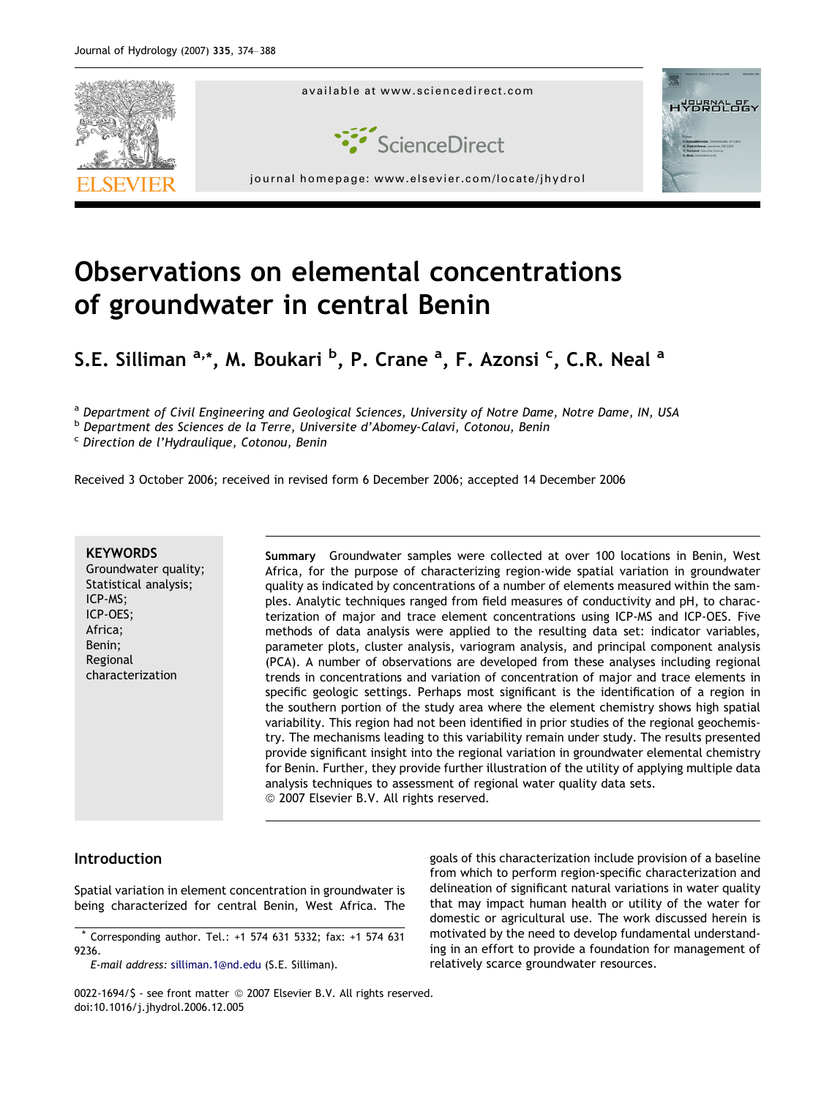

# Observations on elemental concentrations of groundwater in central Benin

S.E. Silliman <sup>a,</sup>\*, M. Boukari <sup>b</sup>, P. Crane <sup>a</sup>, F. Azonsi <sup>c</sup>, C.R. Neal <sup>a</sup>

a Department of Civil Engineering and Geological Sciences, University of Notre Dame, Notre Dame, IN, USA

<sup>b</sup> Department des Sciences de la Terre, Universite d'Abomey-Calavi, Cotonou, Benin

<sup>c</sup> Direction de l'Hydraulique, Cotonou, Benin

Received 3 October 2006; received in revised form 6 December 2006; accepted 14 December 2006

#### **KEYWORDS**

Groundwater quality; Statistical analysis; ICP-MS; ICP-OES; Africa; Benin; Regional characterization

Summary Groundwater samples were collected at over 100 locations in Benin, West Africa, for the purpose of characterizing region-wide spatial variation in groundwater quality as indicated by concentrations of a number of elements measured within the samples. Analytic techniques ranged from field measures of conductivity and pH, to characterization of major and trace element concentrations using ICP-MS and ICP-OES. Five methods of data analysis were applied to the resulting data set: indicator variables, parameter plots, cluster analysis, variogram analysis, and principal component analysis (PCA). A number of observations are developed from these analyses including regional trends in concentrations and variation of concentration of major and trace elements in specific geologic settings. Perhaps most significant is the identification of a region in the southern portion of the study area where the element chemistry shows high spatial variability. This region had not been identified in prior studies of the regional geochemistry. The mechanisms leading to this variability remain under study. The results presented provide significant insight into the regional variation in groundwater elemental chemistry for Benin. Further, they provide further illustration of the utility of applying multiple data analysis techniques to assessment of regional water quality data sets. © 2007 Elsevier B.V. All rights reserved.

Introduction

Spatial variation in element concentration in groundwater is being characterized for central Benin, West Africa. The

goals of this characterization include provision of a baseline from which to perform region-specific characterization and delineation of significant natural variations in water quality that may impact human health or utility of the water for domestic or agricultural use. The work discussed herein is motivated by the need to develop fundamental understanding in an effort to provide a foundation for management of relatively scarce groundwater resources.

<sup>\*</sup> Corresponding author. Tel.: +1 574 631 5332; fax: +1 574 631 9236.

E-mail address: [silliman.1@nd.edu](mailto:silliman.1@nd.edu) (S.E. Silliman).

<sup>0022-1694/\$ -</sup> see front matter © 2007 Elsevier B.V. All rights reserved. doi:10.1016/j.jhydrol.2006.12.005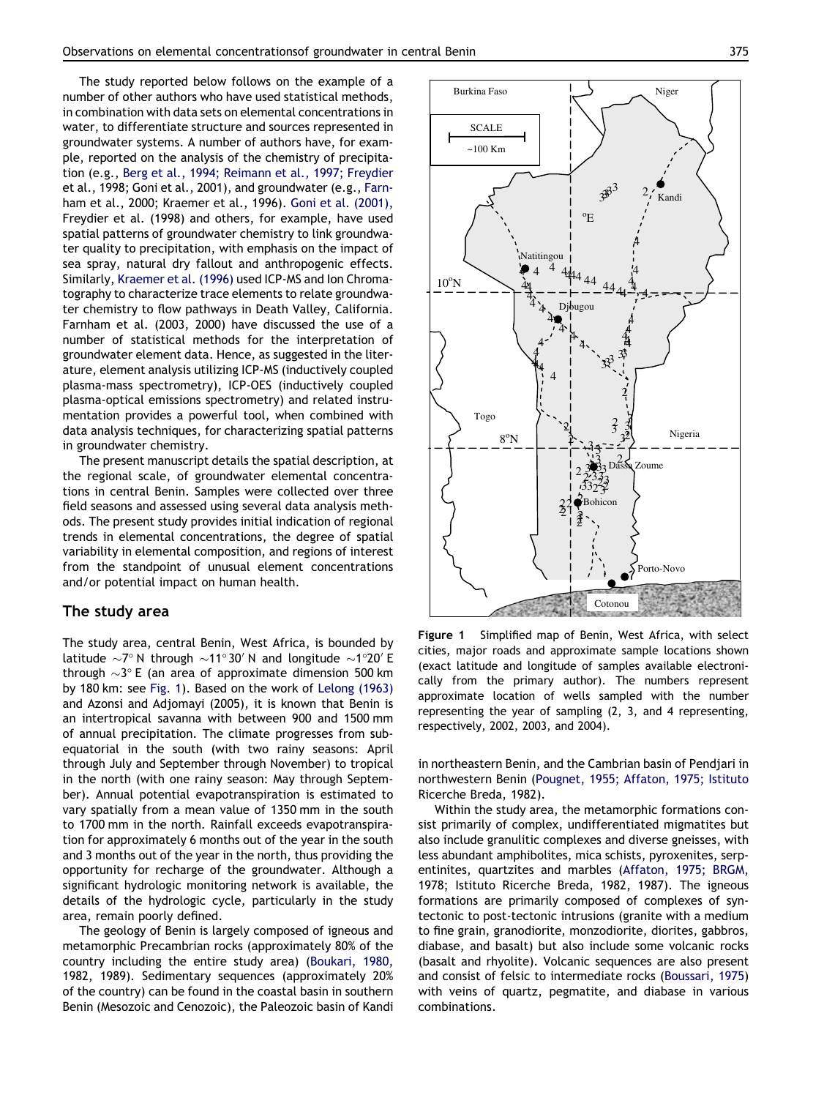<span id="page-1-0"></span>The study reported below follows on the example of a number of other authors who have used statistical methods, in combination with data sets on elemental concentrations in water, to differentiate structure and sources represented in groundwater systems. A number of authors have, for example, reported on the analysis of the chemistry of precipitation (e.g., [Berg et al., 1994; Reimann et al., 1997; Freydier](#page-13-0) [et al., 1998; Goni et al., 2001](#page-13-0)), and groundwater (e.g., [Farn](#page-13-0)[ham et al., 2000; Kraemer et al., 1996\)](#page-13-0). [Goni et al. \(2001\),](#page-13-0) [Freydier et al. \(1998\)](#page-13-0) and others, for example, have used spatial patterns of groundwater chemistry to link groundwater quality to precipitation, with emphasis on the impact of sea spray, natural dry fallout and anthropogenic effects. Similarly, [Kraemer et al. \(1996\)](#page-13-0) used ICP-MS and Ion Chromatography to characterize trace elements to relate groundwater chemistry to flow pathways in Death Valley, California. [Farnham et al. \(2003, 2000\)](#page-13-0) have discussed the use of a number of statistical methods for the interpretation of groundwater element data. Hence, as suggested in the literature, element analysis utilizing ICP-MS (inductively coupled plasma-mass spectrometry), ICP-OES (inductively coupled plasma-optical emissions spectrometry) and related instrumentation provides a powerful tool, when combined with data analysis techniques, for characterizing spatial patterns in groundwater chemistry.

The present manuscript details the spatial description, at the regional scale, of groundwater elemental concentrations in central Benin. Samples were collected over three field seasons and assessed using several data analysis methods. The present study provides initial indication of regional trends in elemental concentrations, the degree of spatial variability in elemental composition, and regions of interest from the standpoint of unusual element concentrations and/or potential impact on human health.

#### The study area

The study area, central Benin, West Africa, is bounded by latitude  $\sim$ 7° N through  $\sim$ 11°30′ N and longitude  $\sim$ 1°20′ E through  ${\sim}3^{\circ}$  E (an area of approximate dimension 500 km by 180 km: see Fig. 1). Based on the work of [Lelong \(1963\)](#page-13-0) [and Azonsi and Adjomayi \(2005\),](#page-13-0) it is known that Benin is an intertropical savanna with between 900 and 1500 mm of annual precipitation. The climate progresses from subequatorial in the south (with two rainy seasons: April through July and September through November) to tropical in the north (with one rainy season: May through September). Annual potential evapotranspiration is estimated to vary spatially from a mean value of 1350 mm in the south to 1700 mm in the north. Rainfall exceeds evapotranspiration for approximately 6 months out of the year in the south and 3 months out of the year in the north, thus providing the opportunity for recharge of the groundwater. Although a significant hydrologic monitoring network is available, the details of the hydrologic cycle, particularly in the study area, remain poorly defined.

The geology of Benin is largely composed of igneous and metamorphic Precambrian rocks (approximately 80% of the country including the entire study area) [\(Boukari, 1980,](#page-13-0) [1982, 1989](#page-13-0)). Sedimentary sequences (approximately 20% of the country) can be found in the coastal basin in southern Benin (Mesozoic and Cenozoic), the Paleozoic basin of Kandi



Figure 1 Simplified map of Benin, West Africa, with select cities, major roads and approximate sample locations shown (exact latitude and longitude of samples available electronically from the primary author). The numbers represent approximate location of wells sampled with the number representing the year of sampling (2, 3, and 4 representing, respectively, 2002, 2003, and 2004).

in northeastern Benin, and the Cambrian basin of Pendjari in northwestern Benin [\(Pougnet, 1955; Affaton, 1975; Istituto](#page-14-0) [Ricerche Breda, 1982](#page-14-0)).

Within the study area, the metamorphic formations consist primarily of complex, undifferentiated migmatites but also include granulitic complexes and diverse gneisses, with less abundant amphibolites, mica schists, pyroxenites, serpentinites, quartzites and marbles [\(Affaton, 1975; BRGM,](#page-13-0) [1978; Istituto Ricerche Breda, 1982, 1987\)](#page-13-0). The igneous formations are primarily composed of complexes of syntectonic to post-tectonic intrusions (granite with a medium to fine grain, granodiorite, monzodiorite, diorites, gabbros, diabase, and basalt) but also include some volcanic rocks (basalt and rhyolite). Volcanic sequences are also present and consist of felsic to intermediate rocks [\(Boussari, 1975](#page-13-0)) with veins of quartz, pegmatite, and diabase in various combinations.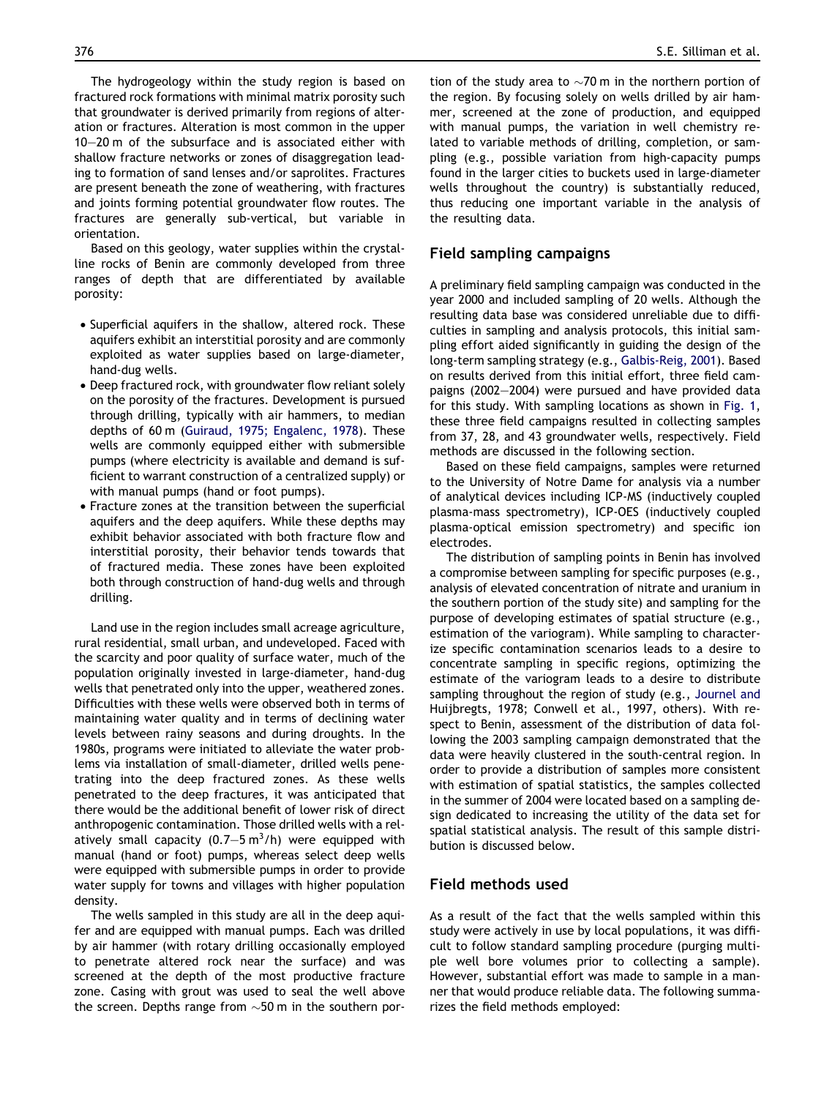The hydrogeology within the study region is based on fractured rock formations with minimal matrix porosity such that groundwater is derived primarily from regions of alteration or fractures. Alteration is most common in the upper 10–20 m of the subsurface and is associated either with shallow fracture networks or zones of disaggregation leading to formation of sand lenses and/or saprolites. Fractures are present beneath the zone of weathering, with fractures and joints forming potential groundwater flow routes. The fractures are generally sub-vertical, but variable in orientation.

Based on this geology, water supplies within the crystalline rocks of Benin are commonly developed from three ranges of depth that are differentiated by available porosity:

- Superficial aquifers in the shallow, altered rock. These aquifers exhibit an interstitial porosity and are commonly exploited as water supplies based on large-diameter, hand-dug wells.
- Deep fractured rock, with groundwater flow reliant solely on the porosity of the fractures. Development is pursued through drilling, typically with air hammers, to median depths of 60 m ([Guiraud, 1975; Engalenc, 1978](#page-13-0)). These wells are commonly equipped either with submersible pumps (where electricity is available and demand is sufficient to warrant construction of a centralized supply) or with manual pumps (hand or foot pumps).
- Fracture zones at the transition between the superficial aquifers and the deep aquifers. While these depths may exhibit behavior associated with both fracture flow and interstitial porosity, their behavior tends towards that of fractured media. These zones have been exploited both through construction of hand-dug wells and through drilling.

Land use in the region includes small acreage agriculture, rural residential, small urban, and undeveloped. Faced with the scarcity and poor quality of surface water, much of the population originally invested in large-diameter, hand-dug wells that penetrated only into the upper, weathered zones. Difficulties with these wells were observed both in terms of maintaining water quality and in terms of declining water levels between rainy seasons and during droughts. In the 1980s, programs were initiated to alleviate the water problems via installation of small-diameter, drilled wells penetrating into the deep fractured zones. As these wells penetrated to the deep fractures, it was anticipated that there would be the additional benefit of lower risk of direct anthropogenic contamination. Those drilled wells with a relatively small capacity  $(0.7-5 \text{ m}^3/\text{h})$  were equipped with manual (hand or foot) pumps, whereas select deep wells were equipped with submersible pumps in order to provide water supply for towns and villages with higher population density.

The wells sampled in this study are all in the deep aquifer and are equipped with manual pumps. Each was drilled by air hammer (with rotary drilling occasionally employed to penetrate altered rock near the surface) and was screened at the depth of the most productive fracture zone. Casing with grout was used to seal the well above the screen. Depths range from  $\sim$ 50 m in the southern por-

tion of the study area to  ${\sim}$ 70 m in the northern portion of the region. By focusing solely on wells drilled by air hammer, screened at the zone of production, and equipped with manual pumps, the variation in well chemistry related to variable methods of drilling, completion, or sampling (e.g., possible variation from high-capacity pumps found in the larger cities to buckets used in large-diameter wells throughout the country) is substantially reduced, thus reducing one important variable in the analysis of the resulting data.

#### Field sampling campaigns

A preliminary field sampling campaign was conducted in the year 2000 and included sampling of 20 wells. Although the resulting data base was considered unreliable due to difficulties in sampling and analysis protocols, this initial sampling effort aided significantly in guiding the design of the long-term sampling strategy (e.g., [Galbis-Reig, 2001](#page-13-0)). Based on results derived from this initial effort, three field campaigns (2002–2004) were pursued and have provided data for this study. With sampling locations as shown in [Fig. 1,](#page-1-0) these three field campaigns resulted in collecting samples from 37, 28, and 43 groundwater wells, respectively. Field methods are discussed in the following section.

Based on these field campaigns, samples were returned to the University of Notre Dame for analysis via a number of analytical devices including ICP-MS (inductively coupled plasma-mass spectrometry), ICP-OES (inductively coupled plasma-optical emission spectrometry) and specific ion electrodes.

The distribution of sampling points in Benin has involved a compromise between sampling for specific purposes (e.g., analysis of elevated concentration of nitrate and uranium in the southern portion of the study site) and sampling for the purpose of developing estimates of spatial structure (e.g., estimation of the variogram). While sampling to characterize specific contamination scenarios leads to a desire to concentrate sampling in specific regions, optimizing the estimate of the variogram leads to a desire to distribute sampling throughout the region of study (e.g., [Journel and](#page-13-0) [Huijbregts, 1978; Conwell et al., 1997,](#page-13-0) others). With respect to Benin, assessment of the distribution of data following the 2003 sampling campaign demonstrated that the data were heavily clustered in the south-central region. In order to provide a distribution of samples more consistent with estimation of spatial statistics, the samples collected in the summer of 2004 were located based on a sampling design dedicated to increasing the utility of the data set for spatial statistical analysis. The result of this sample distribution is discussed below.

## Field methods used

As a result of the fact that the wells sampled within this study were actively in use by local populations, it was difficult to follow standard sampling procedure (purging multiple well bore volumes prior to collecting a sample). However, substantial effort was made to sample in a manner that would produce reliable data. The following summarizes the field methods employed: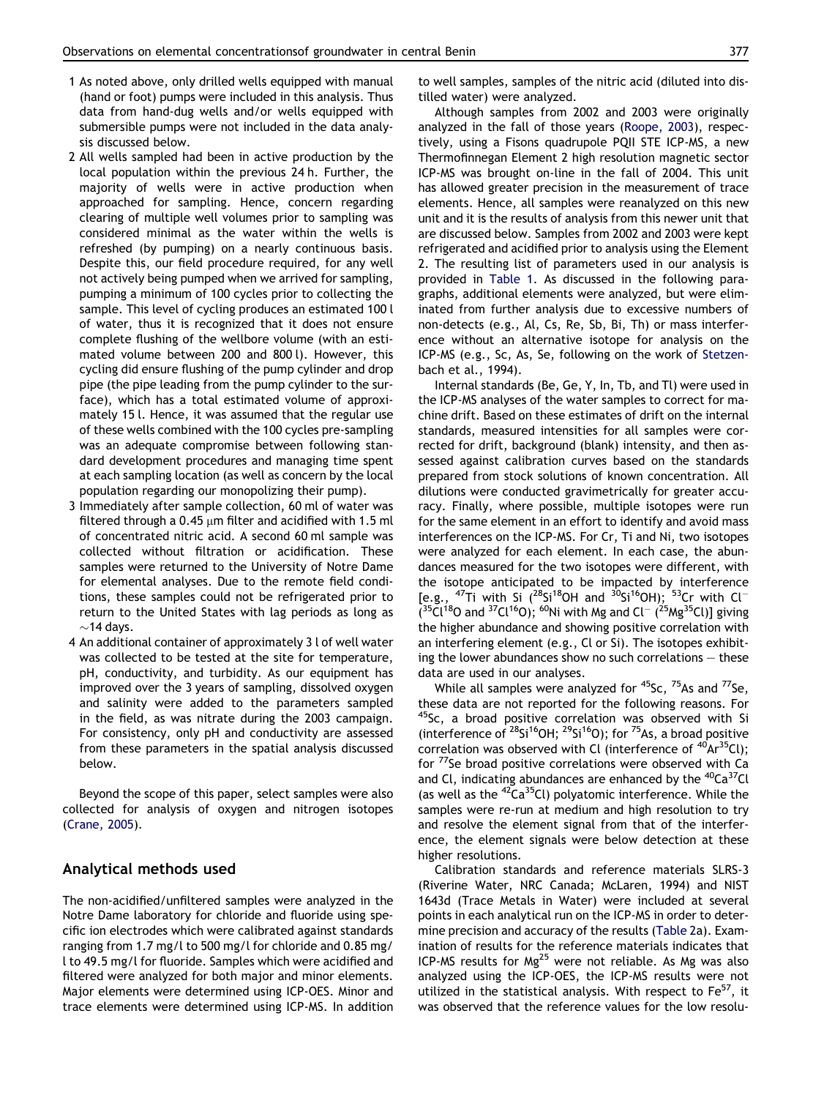- 1 As noted above, only drilled wells equipped with manual (hand or foot) pumps were included in this analysis. Thus data from hand-dug wells and/or wells equipped with submersible pumps were not included in the data analysis discussed below.
- 2 All wells sampled had been in active production by the local population within the previous 24 h. Further, the majority of wells were in active production when approached for sampling. Hence, concern regarding clearing of multiple well volumes prior to sampling was considered minimal as the water within the wells is refreshed (by pumping) on a nearly continuous basis. Despite this, our field procedure required, for any well not actively being pumped when we arrived for sampling, pumping a minimum of 100 cycles prior to collecting the sample. This level of cycling produces an estimated 100 l of water, thus it is recognized that it does not ensure complete flushing of the wellbore volume (with an estimated volume between 200 and 800 l). However, this cycling did ensure flushing of the pump cylinder and drop pipe (the pipe leading from the pump cylinder to the surface), which has a total estimated volume of approximately 15 l. Hence, it was assumed that the regular use of these wells combined with the 100 cycles pre-sampling was an adequate compromise between following standard development procedures and managing time spent at each sampling location (as well as concern by the local population regarding our monopolizing their pump).
- 3 Immediately after sample collection, 60 ml of water was filtered through a 0.45  $\mu$ m filter and acidified with 1.5 ml of concentrated nitric acid. A second 60 ml sample was collected without filtration or acidification. These samples were returned to the University of Notre Dame for elemental analyses. Due to the remote field conditions, these samples could not be refrigerated prior to return to the United States with lag periods as long as  $\sim$ 14 days.
- 4 An additional container of approximately 3 l of well water was collected to be tested at the site for temperature, pH, conductivity, and turbidity. As our equipment has improved over the 3 years of sampling, dissolved oxygen and salinity were added to the parameters sampled in the field, as was nitrate during the 2003 campaign. For consistency, only pH and conductivity are assessed from these parameters in the spatial analysis discussed below.

Beyond the scope of this paper, select samples were also collected for analysis of oxygen and nitrogen isotopes ([Crane, 2005\)](#page-13-0).

## Analytical methods used

The non-acidified/unfiltered samples were analyzed in the Notre Dame laboratory for chloride and fluoride using specific ion electrodes which were calibrated against standards ranging from 1.7 mg/l to 500 mg/l for chloride and 0.85 mg/ l to 49.5 mg/l for fluoride. Samples which were acidified and filtered were analyzed for both major and minor elements. Major elements were determined using ICP-OES. Minor and trace elements were determined using ICP-MS. In addition to well samples, samples of the nitric acid (diluted into distilled water) were analyzed.

Although samples from 2002 and 2003 were originally analyzed in the fall of those years [\(Roope, 2003\)](#page-14-0), respectively, using a Fisons quadrupole PQII STE ICP-MS, a new Thermofinnegan Element 2 high resolution magnetic sector ICP-MS was brought on-line in the fall of 2004. This unit has allowed greater precision in the measurement of trace elements. Hence, all samples were reanalyzed on this new unit and it is the results of analysis from this newer unit that are discussed below. Samples from 2002 and 2003 were kept refrigerated and acidified prior to analysis using the Element 2. The resulting list of parameters used in our analysis is provided in [Table 1.](#page-4-0) As discussed in the following paragraphs, additional elements were analyzed, but were eliminated from further analysis due to excessive numbers of non-detects (e.g., Al, Cs, Re, Sb, Bi, Th) or mass interference without an alternative isotope for analysis on the ICP-MS (e.g., Sc, As, Se, following on the work of [Stetzen](#page-14-0)[bach et al., 1994](#page-14-0)).

Internal standards (Be, Ge, Y, In, Tb, and Tl) were used in the ICP-MS analyses of the water samples to correct for machine drift. Based on these estimates of drift on the internal standards, measured intensities for all samples were corrected for drift, background (blank) intensity, and then assessed against calibration curves based on the standards prepared from stock solutions of known concentration. All dilutions were conducted gravimetrically for greater accuracy. Finally, where possible, multiple isotopes were run for the same element in an effort to identify and avoid mass interferences on the ICP-MS. For Cr, Ti and Ni, two isotopes were analyzed for each element. In each case, the abundances measured for the two isotopes were different, with the isotope anticipated to be impacted by interference [e.g.,  $^{47}$ Ti with Si ( $^{28}$ Si<sup>18</sup>OH and  $^{30}$ Si<sup>16</sup>OH); <sup>53</sup>Cr with Cl<sup>-</sup>  $(35C1^{18}O$  and  $37C1^{16}O)$ ; <sup>60</sup>Ni with Mg and Cl<sup>-</sup> ( $^{25}Mg^{35}Cl$ )] giving the higher abundance and showing positive correlation with an interfering element (e.g., Cl or Si). The isotopes exhibiting the lower abundances show no such correlations – these data are used in our analyses.

While all samples were analyzed for  $45$ Sc,  $75$ As and  $77$ Se, these data are not reported for the following reasons. For <sup>45</sup>Sc, a broad positive correlation was observed with Si (interference of  $^{28}Si^{16}OH$ ;  $^{29}Si^{16}O$ ); for  $^{75}As$ , a broad positive correlation was observed with Cl (interference of  $^{40}Ar^{35}Cl$ ); for <sup>77</sup>Se broad positive correlations were observed with Ca and Cl, indicating abundances are enhanced by the  ${}^{40}Ca^{37}Cl$ (as well as the  $^{42}Ca^{35}Cl$ ) polyatomic interference. While the samples were re-run at medium and high resolution to try and resolve the element signal from that of the interference, the element signals were below detection at these higher resolutions.

Calibration standards and reference materials SLRS-3 (Riverine Water, NRC Canada; McLaren, 1994) and NIST 1643d (Trace Metals in Water) were included at several points in each analytical run on the ICP-MS in order to determine precision and accuracy of the results [\(Table 2](#page-5-0)a). Examination of results for the reference materials indicates that ICP-MS results for  $Mg^{25}$  were not reliable. As Mg was also analyzed using the ICP-OES, the ICP-MS results were not utilized in the statistical analysis. With respect to  $Fe<sup>57</sup>$ , it was observed that the reference values for the low resolu-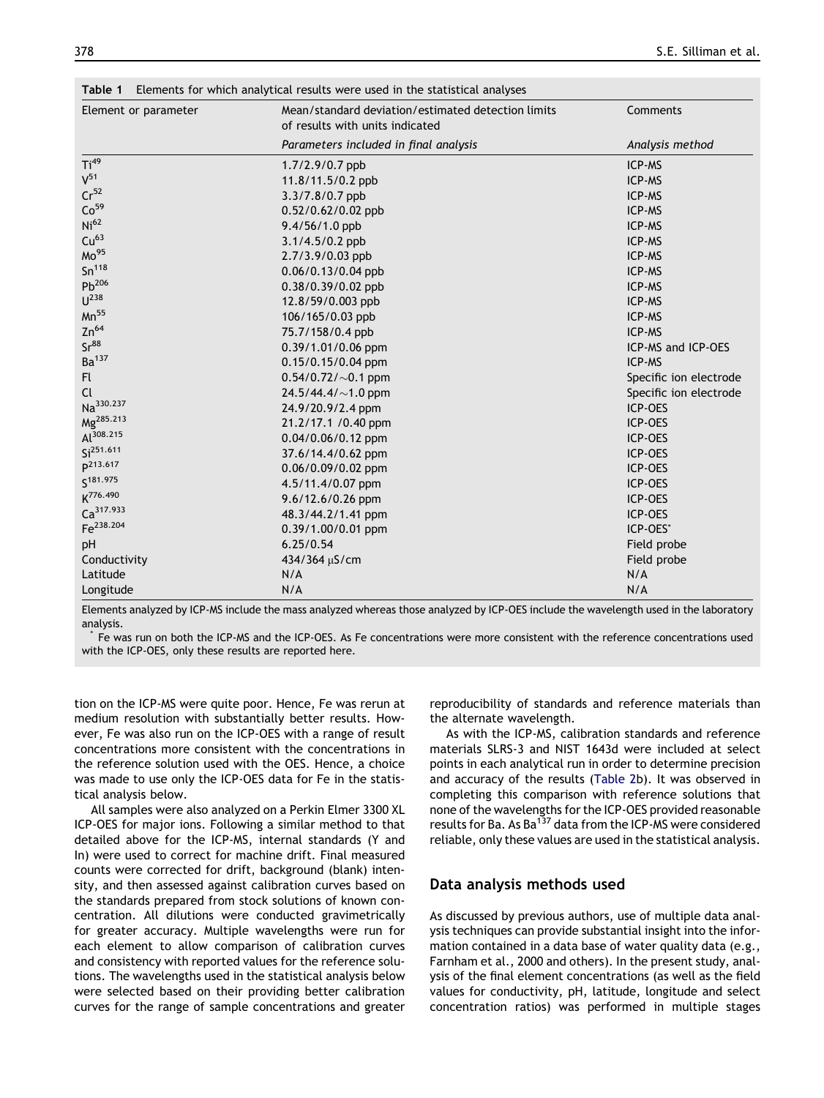<span id="page-4-0"></span>

| Element or parameter  | Mean/standard deviation/estimated detection limits | Comments               |  |  |
|-----------------------|----------------------------------------------------|------------------------|--|--|
|                       | of results with units indicated                    |                        |  |  |
|                       | Parameters included in final analysis              | Analysis method        |  |  |
| Ti <sup>49</sup>      | $1.7/2.9/0.7$ ppb                                  | ICP-MS                 |  |  |
| $V^{51}$              | 11.8/11.5/0.2 ppb                                  | ICP-MS                 |  |  |
| Cr <sup>52</sup>      | 3.3/7.8/0.7 ppb                                    | ICP-MS                 |  |  |
| Co <sup>59</sup>      | 0.52/0.62/0.02 ppb                                 | ICP-MS                 |  |  |
| Ni <sup>62</sup>      | 9.4/56/1.0 ppb                                     | ICP-MS                 |  |  |
| Cu <sup>63</sup>      | 3.1/4.5/0.2 ppb                                    | ICP-MS                 |  |  |
| Mo <sup>95</sup>      | 2.7/3.9/0.03 ppb                                   | ICP-MS                 |  |  |
| Sn <sup>118</sup>     | 0.06/0.13/0.04 ppb                                 | ICP-MS                 |  |  |
| $Pb^{206}$            | $0.38/0.39/0.02$ ppb                               | ICP-MS                 |  |  |
| $U^{238}$             | 12.8/59/0.003 ppb                                  | ICP-MS                 |  |  |
| $Mn^{55}$             | 106/165/0.03 ppb                                   | ICP-MS                 |  |  |
| $Zn^{64}$             | 75.7/158/0.4 ppb                                   | ICP-MS                 |  |  |
| Sr <sup>88</sup>      | 0.39/1.01/0.06 ppm                                 | ICP-MS and ICP-OES     |  |  |
| Ba <sup>137</sup>     | 0.15/0.15/0.04 ppm                                 | ICP-MS                 |  |  |
| Fl.                   | $0.54/0.72/\sim0.1$ ppm                            | Specific ion electrode |  |  |
| <b>Cl</b>             | 24.5/44.4/ $\sim$ 1.0 ppm                          | Specific ion electrode |  |  |
| Na <sup>330.237</sup> | 24.9/20.9/2.4 ppm                                  | ICP-OES                |  |  |
| Mg <sup>285.213</sup> | 21.2/17.1 /0.40 ppm                                | ICP-OES                |  |  |
| Al <sup>308.215</sup> | 0.04/0.06/0.12 ppm                                 | ICP-OES                |  |  |
| Si <sup>251.611</sup> | 37.6/14.4/0.62 ppm                                 | ICP-OES                |  |  |
| p <sup>213.617</sup>  | 0.06/0.09/0.02 ppm                                 | ICP-OES                |  |  |
| S <sup>181.975</sup>  | 4.5/11.4/0.07 ppm                                  | ICP-OES                |  |  |
| K776.490              | 9.6/12.6/0.26 ppm                                  | ICP-OES                |  |  |
| Ca <sup>317.933</sup> | 48.3/44.2/1.41 ppm                                 | ICP-OES                |  |  |
| Fe <sup>238.204</sup> | 0.39/1.00/0.01 ppm                                 | ICP-OES*               |  |  |
| pH                    | 6.25/0.54                                          | Field probe            |  |  |
| Conductivity          | 434/364 µS/cm                                      | Field probe            |  |  |
| Latitude              | N/A                                                | N/A                    |  |  |
| Longitude             | N/A                                                | N/A                    |  |  |

Elements analyzed by ICP-MS include the mass analyzed whereas those analyzed by ICP-OES include the wavelength used in the laboratory analysis.

Fe was run on both the ICP-MS and the ICP-OES. As Fe concentrations were more consistent with the reference concentrations used with the ICP-OES, only these results are reported here.

tion on the ICP-MS were quite poor. Hence, Fe was rerun at medium resolution with substantially better results. However, Fe was also run on the ICP-OES with a range of result concentrations more consistent with the concentrations in the reference solution used with the OES. Hence, a choice was made to use only the ICP-OES data for Fe in the statistical analysis below.

All samples were also analyzed on a Perkin Elmer 3300 XL ICP-OES for major ions. Following a similar method to that detailed above for the ICP-MS, internal standards (Y and In) were used to correct for machine drift. Final measured counts were corrected for drift, background (blank) intensity, and then assessed against calibration curves based on the standards prepared from stock solutions of known concentration. All dilutions were conducted gravimetrically for greater accuracy. Multiple wavelengths were run for each element to allow comparison of calibration curves and consistency with reported values for the reference solutions. The wavelengths used in the statistical analysis below were selected based on their providing better calibration curves for the range of sample concentrations and greater reproducibility of standards and reference materials than the alternate wavelength.

As with the ICP-MS, calibration standards and reference materials SLRS-3 and NIST 1643d were included at select points in each analytical run in order to determine precision and accuracy of the results ([Table 2](#page-5-0)b). It was observed in completing this comparison with reference solutions that none of the wavelengths for the ICP-OES provided reasonable results for Ba. As Ba<sup>137</sup> data from the ICP-MS were considered reliable, only these values are used in the statistical analysis.

### Data analysis methods used

As discussed by previous authors, use of multiple data analysis techniques can provide substantial insight into the information contained in a data base of water quality data (e.g., [Farnham et al., 2000](#page-13-0) and others). In the present study, analysis of the final element concentrations (as well as the field values for conductivity, pH, latitude, longitude and select concentration ratios) was performed in multiple stages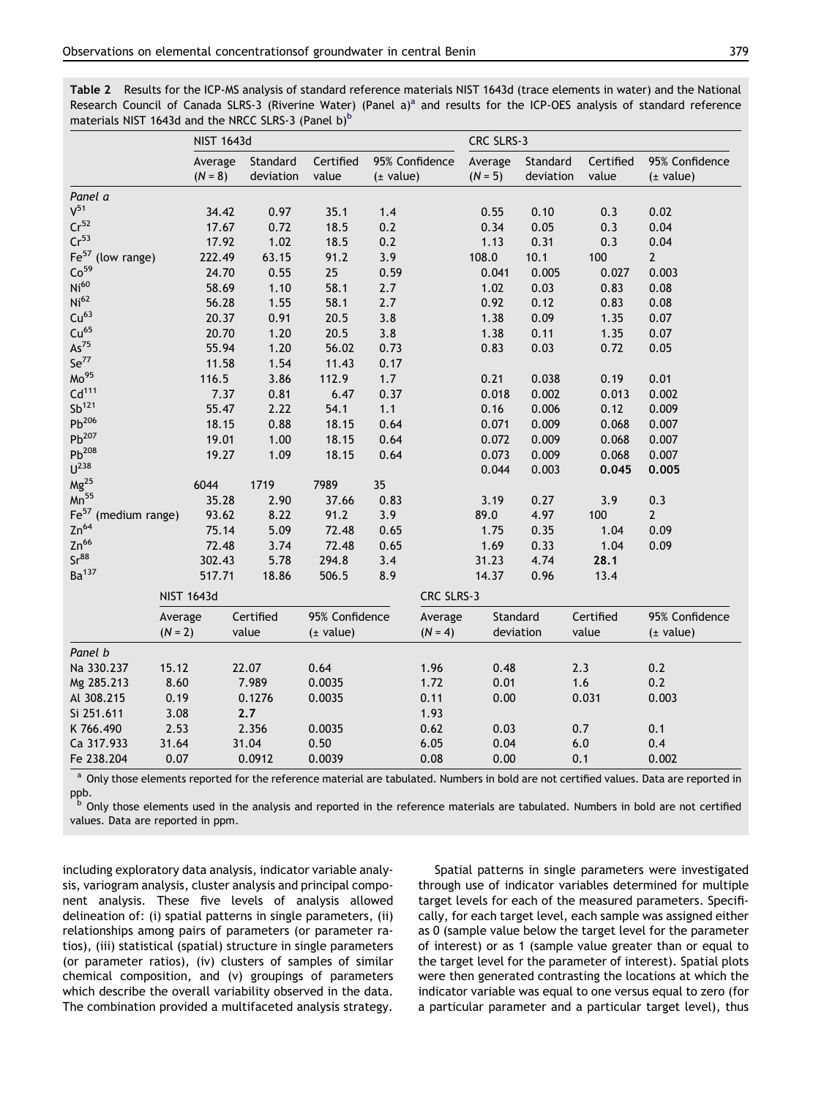<span id="page-5-0"></span>Table 2 Results for the ICP-MS analysis of standard reference materials NIST 1643d (trace elements in water) and the National Rese[a](#page-4-0)rch Council of Canada SLRS-3 (Riverine Water) (Panel  $a$ <sup>a</sup> and results for the ICP-OES analysis of standard reference materials NIST 1643d and the NRCC SLRS-3 (Panel b) $<sup>b</sup>$ </sup>

|                                    |           | <b>NIST 1643d</b>    |                       |                    |                             |            | CRC SLRS-3           |                       |                    |                             |
|------------------------------------|-----------|----------------------|-----------------------|--------------------|-----------------------------|------------|----------------------|-----------------------|--------------------|-----------------------------|
|                                    |           | Average<br>$(N = 8)$ | Standard<br>deviation | Certified<br>value | 95% Confidence<br>(± value) |            | Average<br>$(N = 5)$ | Standard<br>deviation | Certified<br>value | 95% Confidence<br>(± value) |
| Panel a                            |           |                      |                       |                    |                             |            |                      |                       |                    |                             |
| $V^{51}$                           |           | 34.42                | 0.97                  | 35.1               | 1.4                         |            | 0.55                 | 0.10                  | 0.3                | 0.02                        |
| Cr <sup>52</sup>                   |           | 17.67                | 0.72                  | 18.5               | 0.2                         |            | 0.34                 | 0.05                  | 0.3                | 0.04                        |
| Cr <sup>53</sup>                   |           | 17.92                | 1.02                  | 18.5               | 0.2                         |            | 1.13                 | 0.31                  | 0.3                | 0.04                        |
| Fe <sup>57</sup><br>(low range)    |           | 222.49               | 63.15                 | 91.2               | 3.9                         |            | 108.0                | 10.1                  | 100                | $\overline{2}$              |
| Co <sup>59</sup>                   |           | 24.70                | 0.55                  | 25                 | 0.59                        |            | 0.041                | 0.005                 | 0.027              | 0.003                       |
| Ni <sup>60</sup>                   |           | 58.69                | 1.10                  | 58.1               | 2.7                         |            | 1.02                 | 0.03                  | 0.83               | 0.08                        |
| Ni <sup>62</sup>                   |           | 56.28                | 1.55                  | 58.1               | 2.7                         |            | 0.92                 | 0.12                  | 0.83               | 0.08                        |
| Cu <sup>63</sup>                   |           | 20.37                | 0.91                  | 20.5               | 3.8                         |            | 1.38                 | 0.09                  | 1.35               | 0.07                        |
| Cu <sup>65</sup>                   |           | 20.70                | 1.20                  | 20.5               | 3.8                         |            | 1.38                 | 0.11                  | 1.35               | 0.07                        |
| $\mathsf{As}^{75}$                 |           | 55.94                | 1.20                  | 56.02              | 0.73                        |            | 0.83                 | 0.03                  | 0.72               | 0.05                        |
| $Se^{77}$                          |           | 11.58                | 1.54                  | 11.43              | 0.17                        |            |                      |                       |                    |                             |
| Mo <sup>95</sup>                   |           | 116.5                | 3.86                  | 112.9              | 1.7                         |            | 0.21                 | 0.038                 | 0.19               | 0.01                        |
| Cd <sup>111</sup>                  |           | 7.37                 | 0.81                  | 6.47               | 0.37                        |            | 0.018                | 0.002                 | 0.013              | 0.002                       |
| $Sb^{121}$                         |           | 55.47                | 2.22                  | 54.1               | 1.1                         |            | 0.16                 | 0.006                 | 0.12               | 0.009                       |
| $Pb^{206}$                         |           | 18.15                | 0.88                  | 18.15              | 0.64                        |            | 0.071                | 0.009                 | 0.068              | 0.007                       |
| $Pb^{207}$                         |           | 19.01                | 1.00                  | 18.15              | 0.64                        |            | 0.072                | 0.009                 | 0.068              | 0.007                       |
| $Pb^{208}$                         |           | 19.27                | 1.09                  | 18.15              | 0.64                        |            | 0.073                | 0.009                 | 0.068              | 0.007                       |
| $U^{238}$                          |           |                      |                       |                    |                             |            | 0.044                | 0.003                 | 0.045              | 0.005                       |
| Mg <sup>25</sup>                   |           | 6044                 | 1719                  | 7989               | 35                          |            |                      |                       |                    |                             |
| $Mn^{55}$                          |           | 35.28                | 2.90                  | 37.66              | 0.83                        |            | 3.19                 | 0.27                  | 3.9                | 0.3                         |
| Fe <sup>57</sup><br>(medium range) |           | 93.62                | 8.22                  | 91.2               | 3.9                         |            | 89.0                 | 4.97                  | 100                | $2^{\circ}$                 |
| $Zn^{64}$                          |           | 75.14                | 5.09                  | 72.48              | 0.65                        |            | 1.75                 | 0.35                  | 1.04               | 0.09                        |
| $Zn^{66}$                          |           | 72.48                | 3.74                  | 72.48              | 0.65                        |            | 1.69                 | 0.33                  | 1.04               | 0.09                        |
| Sr <sup>88</sup>                   |           | 302.43               | 5.78                  | 294.8              | 3.4                         |            | 31.23                | 4.74                  | 28.1               |                             |
| Ba <sup>137</sup>                  |           | 517.71               | 18.86                 | 506.5              | 8.9                         |            | 14.37                | 0.96                  | 13.4               |                             |
|                                    |           | <b>NIST 1643d</b>    |                       |                    |                             | CRC SLRS-3 |                      |                       |                    |                             |
|                                    | Average   |                      | Certified             | 95% Confidence     |                             | Average    | Standard             |                       | Certified          | 95% Confidence              |
|                                    | $(N = 2)$ |                      | value                 | (± value)          |                             | $(N = 4)$  |                      | deviation             | value              | (± value)                   |
| Panel b                            |           |                      |                       |                    |                             |            |                      |                       |                    |                             |
| Na 330.237                         | 15.12     |                      | 22.07                 | 0.64               |                             | 1.96       | 0.48                 |                       | 2.3                | 0.2                         |
| Mg 285.213                         | 8.60      |                      | 7.989                 | 0.0035             |                             | 1.72       | 0.01                 |                       | 1.6                | 0.2                         |
| Al 308.215                         | 0.19      |                      | 0.1276                | 0.0035             |                             | 0.11       | 0.00                 |                       | 0.031              | 0.003                       |
| Si 251.611                         | 3.08      |                      | 2.7                   |                    |                             | 1.93       |                      |                       |                    |                             |
| K 766.490                          | 2.53      |                      | 2.356                 | 0.0035             |                             | 0.62       | 0.03                 |                       | 0.7                | 0.1                         |
| Ca 317.933                         | 31.64     |                      | 31.04                 | 0.50               |                             | 6.05       | 0.04                 |                       | 6.0                | 0.4                         |
| Fe 238.204                         | 0.07      |                      | 0.0912                | 0.0039             |                             | 0.08       | 0.00                 |                       | 0.1                | 0.002                       |

<sup>a</sup> Only those elements reported for the reference material are tabulated. Numbers in bold are not certified values. Data are reported in ppb.

<sup>b</sup> Only those elements used in the analysis and reported in the reference materials are tabulated. Numbers in bold are not certified values. Data are reported in ppm.

including exploratory data analysis, indicator variable analysis, variogram analysis, cluster analysis and principal component analysis. These five levels of analysis allowed delineation of: (i) spatial patterns in single parameters, (ii) relationships among pairs of parameters (or parameter ratios), (iii) statistical (spatial) structure in single parameters (or parameter ratios), (iv) clusters of samples of similar chemical composition, and (v) groupings of parameters which describe the overall variability observed in the data. The combination provided a multifaceted analysis strategy.

Spatial patterns in single parameters were investigated through use of indicator variables determined for multiple target levels for each of the measured parameters. Specifically, for each target level, each sample was assigned either as 0 (sample value below the target level for the parameter of interest) or as 1 (sample value greater than or equal to the target level for the parameter of interest). Spatial plots were then generated contrasting the locations at which the indicator variable was equal to one versus equal to zero (for a particular parameter and a particular target level), thus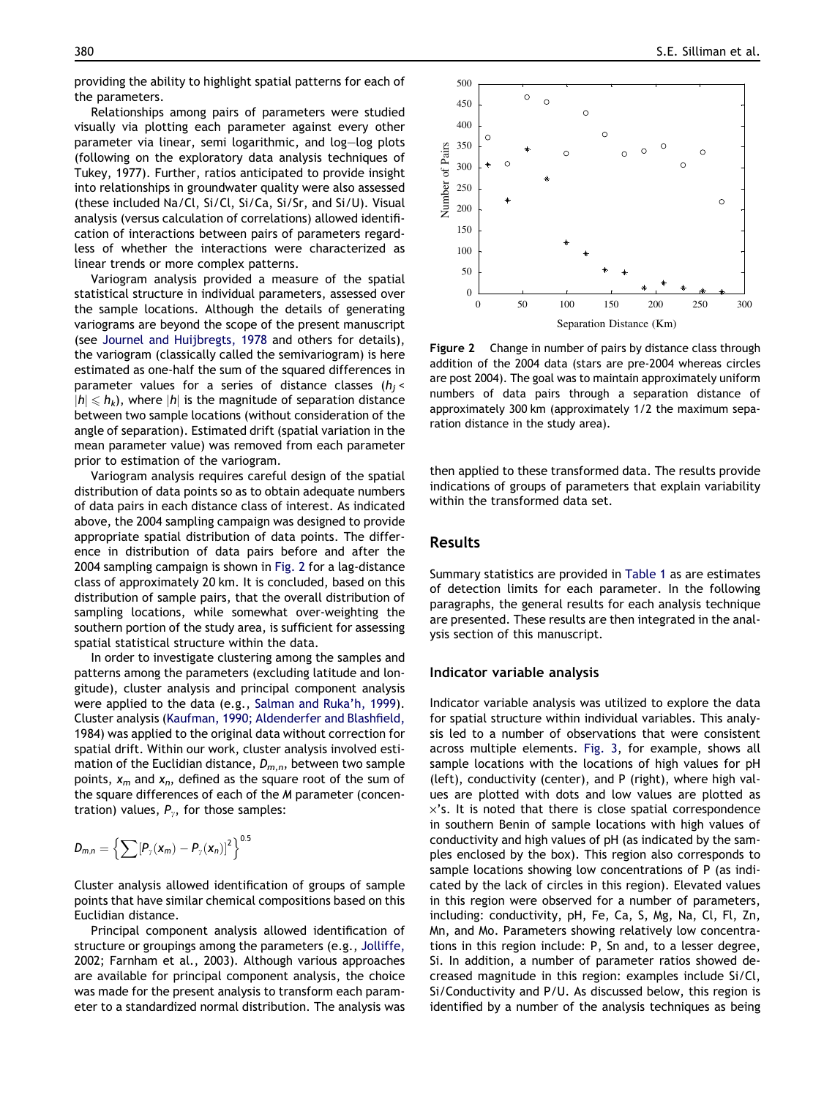providing the ability to highlight spatial patterns for each of the parameters.

Relationships among pairs of parameters were studied visually via plotting each parameter against every other parameter via linear, semi logarithmic, and log–log plots (following on the exploratory data analysis techniques of [Tukey, 1977\)](#page-14-0). Further, ratios anticipated to provide insight into relationships in groundwater quality were also assessed (these included Na/Cl, Si/Cl, Si/Ca, Si/Sr, and Si/U). Visual analysis (versus calculation of correlations) allowed identification of interactions between pairs of parameters regardless of whether the interactions were characterized as linear trends or more complex patterns.

Variogram analysis provided a measure of the spatial statistical structure in individual parameters, assessed over the sample locations. Although the details of generating variograms are beyond the scope of the present manuscript (see [Journel and Huijbregts, 1978](#page-13-0) and others for details), the variogram (classically called the semivariogram) is here estimated as one-half the sum of the squared differences in parameter values for a series of distance classes ( $h_i$  <  $|h| \leq h_k$ ), where  $|h|$  is the magnitude of separation distance between two sample locations (without consideration of the angle of separation). Estimated drift (spatial variation in the mean parameter value) was removed from each parameter prior to estimation of the variogram.

Variogram analysis requires careful design of the spatial distribution of data points so as to obtain adequate numbers of data pairs in each distance class of interest. As indicated above, the 2004 sampling campaign was designed to provide appropriate spatial distribution of data points. The difference in distribution of data pairs before and after the 2004 sampling campaign is shown in Fig. 2 for a lag-distance class of approximately 20 km. It is concluded, based on this distribution of sample pairs, that the overall distribution of sampling locations, while somewhat over-weighting the southern portion of the study area, is sufficient for assessing spatial statistical structure within the data.

In order to investigate clustering among the samples and patterns among the parameters (excluding latitude and longitude), cluster analysis and principal component analysis were applied to the data (e.g., [Salman and Ruka'h, 1999](#page-14-0)). Cluster analysis ([Kaufman, 1990; Aldenderfer and Blashfield,](#page-13-0) [1984](#page-13-0)) was applied to the original data without correction for spatial drift. Within our work, cluster analysis involved estimation of the Euclidian distance,  $D_{m,n}$ , between two sample points,  $x_m$  and  $x_n$ , defined as the square root of the sum of the square differences of each of the M parameter (concentration) values,  $P_{y}$ , for those samples:

$$
D_{m,n}=\left\{\sum [P_{\gamma}(x_m)-P_{\gamma}(x_n)]^2\right\}^{0.5}
$$

Cluster analysis allowed identification of groups of sample points that have similar chemical compositions based on this Euclidian distance.

Principal component analysis allowed identification of structure or groupings among the parameters (e.g., [Jolliffe,](#page-13-0) [2002; Farnham et al., 2003](#page-13-0)). Although various approaches are available for principal component analysis, the choice was made for the present analysis to transform each parameter to a standardized normal distribution. The analysis was



Figure 2 Change in number of pairs by distance class through addition of the 2004 data (stars are pre-2004 whereas circles are post 2004). The goal was to maintain approximately uniform numbers of data pairs through a separation distance of approximately 300 km (approximately 1/2 the maximum separation distance in the study area).

then applied to these transformed data. The results provide indications of groups of parameters that explain variability within the transformed data set.

## Results

Summary statistics are provided in [Table 1](#page-4-0) as are estimates of detection limits for each parameter. In the following paragraphs, the general results for each analysis technique are presented. These results are then integrated in the analysis section of this manuscript.

#### Indicator variable analysis

Indicator variable analysis was utilized to explore the data for spatial structure within individual variables. This analysis led to a number of observations that were consistent across multiple elements. [Fig. 3](#page-7-0), for example, shows all sample locations with the locations of high values for pH (left), conductivity (center), and P (right), where high values are plotted with dots and low values are plotted as  $\times$ 's. It is noted that there is close spatial correspondence in southern Benin of sample locations with high values of conductivity and high values of pH (as indicated by the samples enclosed by the box). This region also corresponds to sample locations showing low concentrations of P (as indicated by the lack of circles in this region). Elevated values in this region were observed for a number of parameters, including: conductivity, pH, Fe, Ca, S, Mg, Na, Cl, Fl, Zn, Mn, and Mo. Parameters showing relatively low concentrations in this region include: P, Sn and, to a lesser degree, Si. In addition, a number of parameter ratios showed decreased magnitude in this region: examples include Si/Cl, Si/Conductivity and P/U. As discussed below, this region is identified by a number of the analysis techniques as being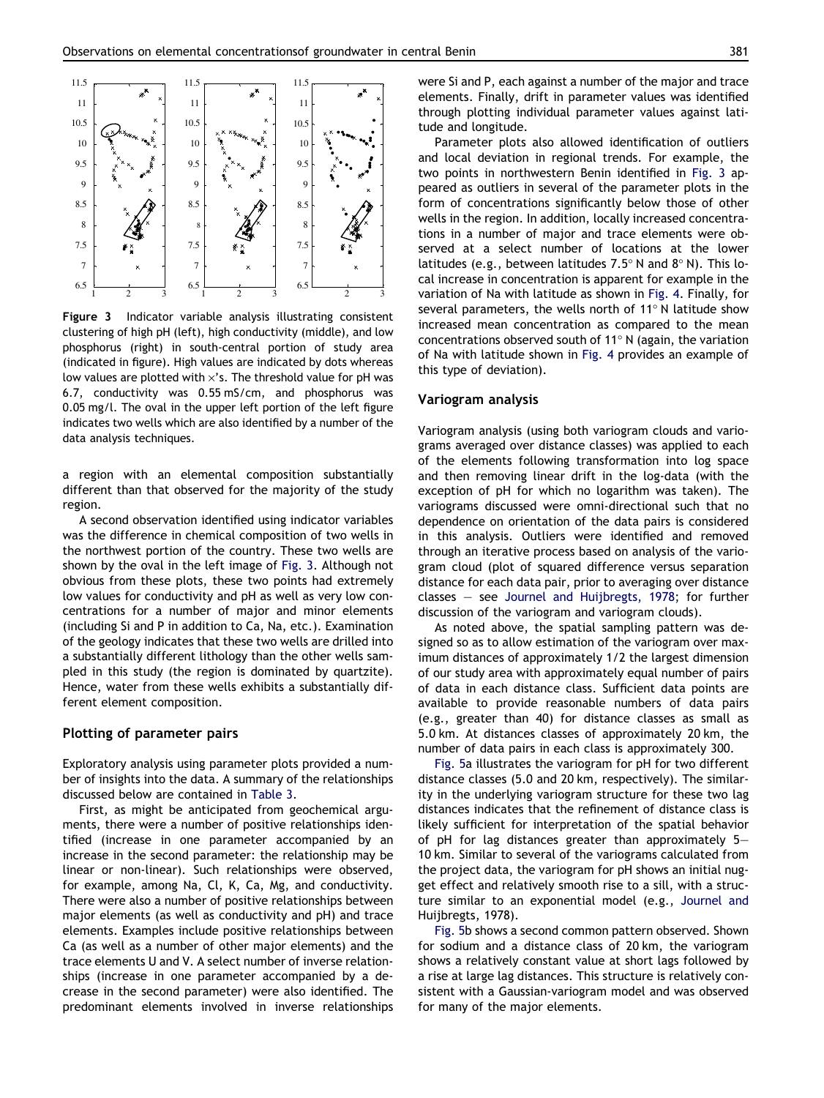<span id="page-7-0"></span>

Figure 3 Indicator variable analysis illustrating consistent clustering of high pH (left), high conductivity (middle), and low phosphorus (right) in south-central portion of study area (indicated in figure). High values are indicated by dots whereas low values are plotted with  $\times$ 's. The threshold value for pH was 6.7, conductivity was 0.55 mS/cm, and phosphorus was 0.05 mg/l. The oval in the upper left portion of the left figure indicates two wells which are also identified by a number of the data analysis techniques.

a region with an elemental composition substantially different than that observed for the majority of the study region.

A second observation identified using indicator variables was the difference in chemical composition of two wells in the northwest portion of the country. These two wells are shown by the oval in the left image of Fig. 3. Although not obvious from these plots, these two points had extremely low values for conductivity and pH as well as very low concentrations for a number of major and minor elements (including Si and P in addition to Ca, Na, etc.). Examination of the geology indicates that these two wells are drilled into a substantially different lithology than the other wells sampled in this study (the region is dominated by quartzite). Hence, water from these wells exhibits a substantially different element composition.

#### Plotting of parameter pairs

Exploratory analysis using parameter plots provided a number of insights into the data. A summary of the relationships discussed below are contained in [Table 3.](#page-8-0)

First, as might be anticipated from geochemical arguments, there were a number of positive relationships identified (increase in one parameter accompanied by an increase in the second parameter: the relationship may be linear or non-linear). Such relationships were observed, for example, among Na, Cl, K, Ca, Mg, and conductivity. There were also a number of positive relationships between major elements (as well as conductivity and pH) and trace elements. Examples include positive relationships between Ca (as well as a number of other major elements) and the trace elements U and V. A select number of inverse relationships (increase in one parameter accompanied by a decrease in the second parameter) were also identified. The predominant elements involved in inverse relationships were Si and P, each against a number of the major and trace elements. Finally, drift in parameter values was identified through plotting individual parameter values against latitude and longitude.

Parameter plots also allowed identification of outliers and local deviation in regional trends. For example, the two points in northwestern Benin identified in Fig. 3 appeared as outliers in several of the parameter plots in the form of concentrations significantly below those of other wells in the region. In addition, locally increased concentrations in a number of major and trace elements were observed at a select number of locations at the lower latitudes (e.g., between latitudes  $7.5^{\circ}$  N and  $8^{\circ}$  N). This local increase in concentration is apparent for example in the variation of Na with latitude as shown in [Fig. 4](#page-8-0). Finally, for several parameters, the wells north of  $11^{\circ}$  N latitude show increased mean concentration as compared to the mean concentrations observed south of 11 $\degree$  N (again, the variation of Na with latitude shown in [Fig. 4](#page-8-0) provides an example of this type of deviation).

#### Variogram analysis

Variogram analysis (using both variogram clouds and variograms averaged over distance classes) was applied to each of the elements following transformation into log space and then removing linear drift in the log-data (with the exception of pH for which no logarithm was taken). The variograms discussed were omni-directional such that no dependence on orientation of the data pairs is considered in this analysis. Outliers were identified and removed through an iterative process based on analysis of the variogram cloud (plot of squared difference versus separation distance for each data pair, prior to averaging over distance classes – see [Journel and Huijbregts, 1978](#page-13-0); for further discussion of the variogram and variogram clouds).

As noted above, the spatial sampling pattern was designed so as to allow estimation of the variogram over maximum distances of approximately 1/2 the largest dimension of our study area with approximately equal number of pairs of data in each distance class. Sufficient data points are available to provide reasonable numbers of data pairs (e.g., greater than 40) for distance classes as small as 5.0 km. At distances classes of approximately 20 km, the number of data pairs in each class is approximately 300.

[Fig. 5a](#page-9-0) illustrates the variogram for pH for two different distance classes (5.0 and 20 km, respectively). The similarity in the underlying variogram structure for these two lag distances indicates that the refinement of distance class is likely sufficient for interpretation of the spatial behavior of pH for lag distances greater than approximately 5– 10 km. Similar to several of the variograms calculated from the project data, the variogram for pH shows an initial nugget effect and relatively smooth rise to a sill, with a structure similar to an exponential model (e.g., [Journel and](#page-13-0) [Huijbregts, 1978\)](#page-13-0).

[Fig. 5](#page-9-0)b shows a second common pattern observed. Shown for sodium and a distance class of 20 km, the variogram shows a relatively constant value at short lags followed by a rise at large lag distances. This structure is relatively consistent with a Gaussian-variogram model and was observed for many of the major elements.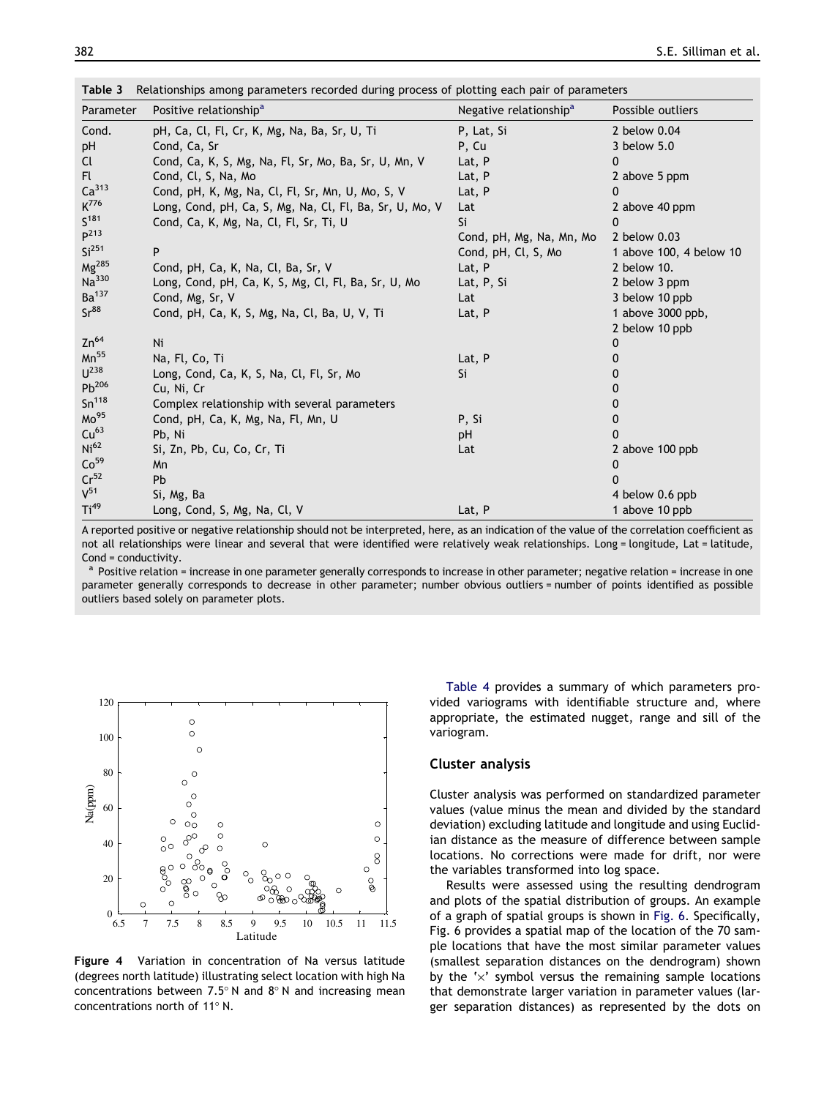| Parameter         | Positive relationship <sup>a</sup>                      | Negative relationship <sup>a</sup> | Possible outliers       |
|-------------------|---------------------------------------------------------|------------------------------------|-------------------------|
| Cond.             | pH, Ca, Cl, Fl, Cr, K, Mg, Na, Ba, Sr, U, Ti            | P, Lat, Si                         | 2 below 0.04            |
| pH                | Cond, Ca, Sr                                            | P, Cu                              | 3 below 5.0             |
| Cl.               | Cond, Ca, K, S, Mg, Na, Fl, Sr, Mo, Ba, Sr, U, Mn, V    | Lat, P                             | 0                       |
| Fl.               | Cond, Cl, S, Na, Mo                                     | Lat, P                             | 2 above 5 ppm           |
| Ca <sup>313</sup> | Cond, pH, K, Mg, Na, Cl, Fl, Sr, Mn, U, Mo, S, V        | Lat, P                             | 0                       |
| K <sup>776</sup>  | Long, Cond, pH, Ca, S, Mg, Na, Cl, Fl, Ba, Sr, U, Mo, V | Lat                                | 2 above 40 ppm          |
| S <sup>181</sup>  | Cond, Ca, K, Mg, Na, Cl, Fl, Sr, Ti, U                  | Si                                 | $\mathbf{0}$            |
| P <sup>213</sup>  |                                                         | Cond, pH, Mg, Na, Mn, Mo           | 2 below 0.03            |
| Si <sup>251</sup> | P                                                       | Cond, pH, Cl, S, Mo                | 1 above 100, 4 below 10 |
| $Mg^{285}$        | Cond, pH, Ca, K, Na, Cl, Ba, Sr, V                      | Lat, P                             | 2 below 10.             |
| Na <sup>330</sup> | Long, Cond, pH, Ca, K, S, Mg, Cl, Fl, Ba, Sr, U, Mo     | Lat, P, Si                         | 2 below 3 ppm           |
| Ba <sup>137</sup> | Cond, Mg, Sr, V                                         | Lat                                | 3 below 10 ppb          |
| Sr <sup>88</sup>  | Cond, pH, Ca, K, S, Mg, Na, Cl, Ba, U, V, Ti            | Lat, P                             | 1 above 3000 ppb,       |
|                   |                                                         |                                    | 2 below 10 ppb          |
| $Zn^{64}$         | Ni                                                      |                                    | 0                       |
| $Mn^{55}$         | Na, Fl, Co, Ti                                          | Lat, P                             | 0                       |
| $U^{238}$         | Long, Cond, Ca, K, S, Na, Cl, Fl, Sr, Mo                | Si                                 | 0                       |
| $Pb^{206}$        | Cu, Ni, Cr                                              |                                    | 0                       |
| Sn <sup>118</sup> | Complex relationship with several parameters            |                                    | 0                       |
| Mo <sup>95</sup>  | Cond, pH, Ca, K, Mg, Na, Fl, Mn, U                      | P. Si                              | 0                       |
| Cu <sup>63</sup>  | Pb, Ni                                                  | pH                                 | $\mathbf{0}$            |
| Ni <sup>62</sup>  | Si, Zn, Pb, Cu, Co, Cr, Ti                              | Lat                                | 2 above 100 ppb         |
| Co <sup>59</sup>  | Mn                                                      |                                    | 0                       |
| Cr <sup>52</sup>  | Pb                                                      |                                    | 0                       |
| $V^{51}$          | Si, Mg, Ba                                              |                                    | 4 below 0.6 ppb         |
| Ti <sup>49</sup>  | Long, Cond, S, Mg, Na, Cl, V                            | Lat, P                             | 1 above 10 ppb          |

<span id="page-8-0"></span>Table 3 Relationships among parameters recorded during process of plotting each pair of parameters

A reported positive or negative relationship should not be interpreted, here, as an indication of the value of the correlation coefficient as not all relationships were linear and several that were identified were relatively weak relationships. Long = longitude, Lat = latitude, Cond = conductivity.

Positive relation = increase in one parameter generally corresponds to increase in other parameter; negative relation = increase in one parameter generally corresponds to decrease in other parameter; number obvious outliers = number of points identified as possible outliers based solely on parameter plots.



Figure 4 Variation in concentration of Na versus latitude (degrees north latitude) illustrating select location with high Na concentrations between 7.5 $^{\circ}$  N and  $8^{\circ}$  N and increasing mean concentrations north of 11 $^{\circ}$  N.

[Table 4](#page-10-0) provides a summary of which parameters provided variograms with identifiable structure and, where appropriate, the estimated nugget, range and sill of the variogram.

#### Cluster analysis

Cluster analysis was performed on standardized parameter values (value minus the mean and divided by the standard deviation) excluding latitude and longitude and using Euclidian distance as the measure of difference between sample locations. No corrections were made for drift, nor were the variables transformed into log space.

Results were assessed using the resulting dendrogram and plots of the spatial distribution of groups. An example of a graph of spatial groups is shown in [Fig. 6](#page-11-0). Specifically, [Fig. 6](#page-11-0) provides a spatial map of the location of the 70 sample locations that have the most similar parameter values (smallest separation distances on the dendrogram) shown by the ' $\times$ ' symbol versus the remaining sample locations that demonstrate larger variation in parameter values (larger separation distances) as represented by the dots on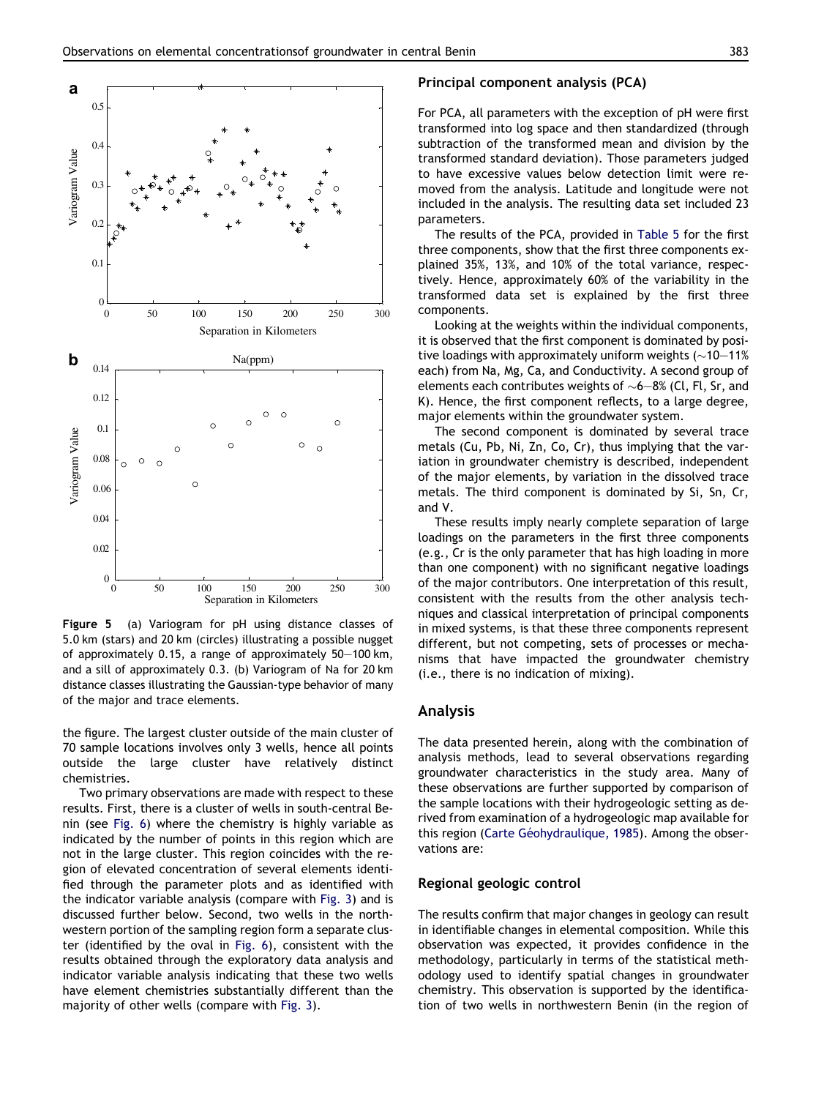<span id="page-9-0"></span>

Figure 5 (a) Variogram for pH using distance classes of 5.0 km (stars) and 20 km (circles) illustrating a possible nugget of approximately 0.15, a range of approximately 50–100 km, and a sill of approximately 0.3. (b) Variogram of Na for 20 km distance classes illustrating the Gaussian-type behavior of many of the major and trace elements.

the figure. The largest cluster outside of the main cluster of 70 sample locations involves only 3 wells, hence all points outside the large cluster have relatively distinct chemistries.

Two primary observations are made with respect to these results. First, there is a cluster of wells in south-central Benin (see [Fig. 6\)](#page-11-0) where the chemistry is highly variable as indicated by the number of points in this region which are not in the large cluster. This region coincides with the region of elevated concentration of several elements identified through the parameter plots and as identified with the indicator variable analysis (compare with [Fig. 3](#page-7-0)) and is discussed further below. Second, two wells in the northwestern portion of the sampling region form a separate cluster (identified by the oval in [Fig. 6\)](#page-11-0), consistent with the results obtained through the exploratory data analysis and indicator variable analysis indicating that these two wells have element chemistries substantially different than the majority of other wells (compare with [Fig. 3\)](#page-7-0).

#### Principal component analysis (PCA)

For PCA, all parameters with the exception of pH were first transformed into log space and then standardized (through subtraction of the transformed mean and division by the transformed standard deviation). Those parameters judged to have excessive values below detection limit were removed from the analysis. Latitude and longitude were not included in the analysis. The resulting data set included 23 parameters.

The results of the PCA, provided in [Table 5](#page-12-0) for the first three components, show that the first three components explained 35%, 13%, and 10% of the total variance, respectively. Hence, approximately 60% of the variability in the transformed data set is explained by the first three components.

Looking at the weights within the individual components, it is observed that the first component is dominated by positive loadings with approximately uniform weights ( $\sim$ 10 $-$ 11% each) from Na, Mg, Ca, and Conductivity. A second group of elements each contributes weights of  $\sim$ 6 $-$ 8% (Cl, Fl, Sr, and K). Hence, the first component reflects, to a large degree, major elements within the groundwater system.

The second component is dominated by several trace metals (Cu, Pb, Ni, Zn, Co, Cr), thus implying that the variation in groundwater chemistry is described, independent of the major elements, by variation in the dissolved trace metals. The third component is dominated by Si, Sn, Cr, and V.

These results imply nearly complete separation of large loadings on the parameters in the first three components (e.g., Cr is the only parameter that has high loading in more than one component) with no significant negative loadings of the major contributors. One interpretation of this result, consistent with the results from the other analysis techniques and classical interpretation of principal components in mixed systems, is that these three components represent different, but not competing, sets of processes or mechanisms that have impacted the groundwater chemistry (i.e., there is no indication of mixing).

#### Analysis

The data presented herein, along with the combination of analysis methods, lead to several observations regarding groundwater characteristics in the study area. Many of these observations are further supported by comparison of the sample locations with their hydrogeologic setting as derived from examination of a hydrogeologic map available for this region (Carte Géohydraulique, 1985). Among the observations are:

#### Regional geologic control

The results confirm that major changes in geology can result in identifiable changes in elemental composition. While this observation was expected, it provides confidence in the methodology, particularly in terms of the statistical methodology used to identify spatial changes in groundwater chemistry. This observation is supported by the identification of two wells in northwestern Benin (in the region of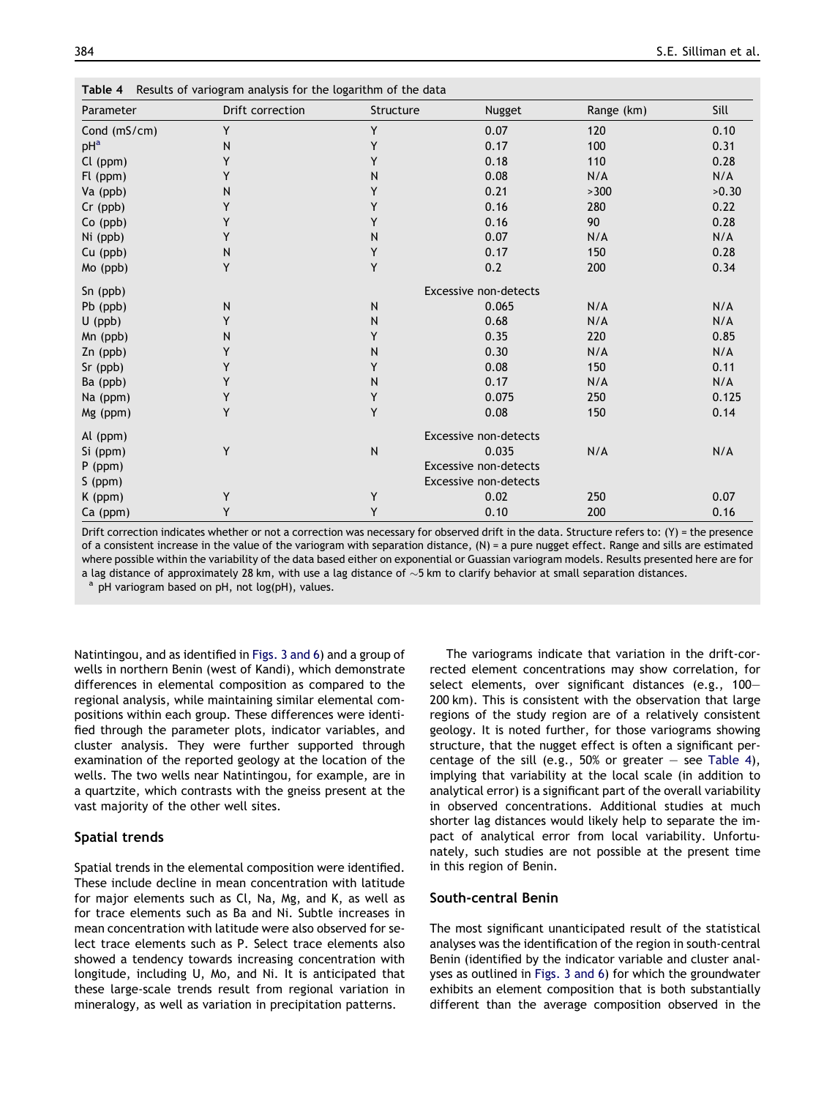<span id="page-10-0"></span>

| Parameter    | Drift correction | Structure                    | Nugget                       | Range (km) | Sill  |  |  |
|--------------|------------------|------------------------------|------------------------------|------------|-------|--|--|
| Cond (mS/cm) | Y                | Y                            | 0.07                         | 120        | 0.10  |  |  |
| $pH^a$       | N                | Y                            | 0.17                         | 100        | 0.31  |  |  |
| Cl (ppm)     | Y                | Y                            | 0.18                         | 110        | 0.28  |  |  |
| Fl (ppm)     | Y                | N                            | 0.08                         | N/A        | N/A   |  |  |
| Va (ppb)     | ${\sf N}$        | Y                            | 0.21                         | >300       | >0.30 |  |  |
| Cr (ppb)     | Y                | Y                            | 0.16                         | 280        | 0.22  |  |  |
| Co (ppb)     | Y                | Y                            | 0.16                         | 90         | 0.28  |  |  |
| Ni (ppb)     | Y                | N                            | 0.07                         | N/A        | N/A   |  |  |
| Cu (ppb)     | ${\sf N}$        | Y                            | 0.17                         | 150        | 0.28  |  |  |
| Mo (ppb)     | Υ                | Y                            | 0.2                          | 200        | 0.34  |  |  |
| Sn (ppb)     |                  |                              | <b>Excessive non-detects</b> |            |       |  |  |
| Pb (ppb)     | ${\sf N}$        | N                            | 0.065                        | N/A        | N/A   |  |  |
| $U$ (ppb)    | Y                | N                            | 0.68                         | N/A        | N/A   |  |  |
| Mn (ppb)     | N                | Y                            | 0.35                         | 220        | 0.85  |  |  |
| Zn (ppb)     | Υ                | N                            | 0.30                         | N/A        | N/A   |  |  |
| Sr (ppb)     | Y                | Υ                            | 0.08                         | 150        | 0.11  |  |  |
| Ba (ppb)     | Y                | N                            | 0.17                         | N/A        | N/A   |  |  |
| Na (ppm)     | Υ                | Υ                            | 0.075                        | 250        | 0.125 |  |  |
| Mg (ppm)     | Y                | Y                            | 0.08                         | 150        | 0.14  |  |  |
| Al (ppm)     |                  |                              | Excessive non-detects        |            |       |  |  |
| Si (ppm)     | Y                | N                            | 0.035                        | N/A        | N/A   |  |  |
| $P$ (ppm)    |                  | <b>Excessive non-detects</b> |                              |            |       |  |  |
| S (ppm)      |                  |                              | <b>Excessive non-detects</b> |            |       |  |  |
| K (ppm)      | Υ                | Υ                            | 0.02                         | 250        | 0.07  |  |  |
| Ca (ppm)     | Y                | Y                            | 0.10                         | 200        | 0.16  |  |  |

Drift correction indicates whether or not a correction was necessary for observed drift in the data. Structure refers to:  $(Y)$  = the presence of a consistent increase in the value of the variogram with separation distance, (N) = a pure nugget effect. Range and sills are estimated where possible within the variability of the data based either on exponential or Guassian variogram models. Results presented here are for a lag distance of approximately 28 km, with use a lag distance of  ${\sim}5$  km to clarify behavior at small separation distances.

pH variogram based on pH, not log(pH), values.

Natintingou, and as identified in [Figs. 3 and 6](#page-7-0)) and a group of wells in northern Benin (west of Kandi), which demonstrate differences in elemental composition as compared to the regional analysis, while maintaining similar elemental compositions within each group. These differences were identified through the parameter plots, indicator variables, and cluster analysis. They were further supported through examination of the reported geology at the location of the wells. The two wells near Natintingou, for example, are in a quartzite, which contrasts with the gneiss present at the vast majority of the other well sites.

#### Spatial trends

Spatial trends in the elemental composition were identified. These include decline in mean concentration with latitude for major elements such as Cl, Na, Mg, and K, as well as for trace elements such as Ba and Ni. Subtle increases in mean concentration with latitude were also observed for select trace elements such as P. Select trace elements also showed a tendency towards increasing concentration with longitude, including U, Mo, and Ni. It is anticipated that these large-scale trends result from regional variation in mineralogy, as well as variation in precipitation patterns.

The variograms indicate that variation in the drift-corrected element concentrations may show correlation, for select elements, over significant distances (e.g., 100– 200 km). This is consistent with the observation that large regions of the study region are of a relatively consistent geology. It is noted further, for those variograms showing structure, that the nugget effect is often a significant percentage of the sill (e.g., 50% or greater  $-$  see Table 4), implying that variability at the local scale (in addition to analytical error) is a significant part of the overall variability in observed concentrations. Additional studies at much shorter lag distances would likely help to separate the impact of analytical error from local variability. Unfortunately, such studies are not possible at the present time in this region of Benin.

#### South-central Benin

The most significant unanticipated result of the statistical analyses was the identification of the region in south-central Benin (identified by the indicator variable and cluster analyses as outlined in [Figs. 3 and 6](#page-7-0)) for which the groundwater exhibits an element composition that is both substantially different than the average composition observed in the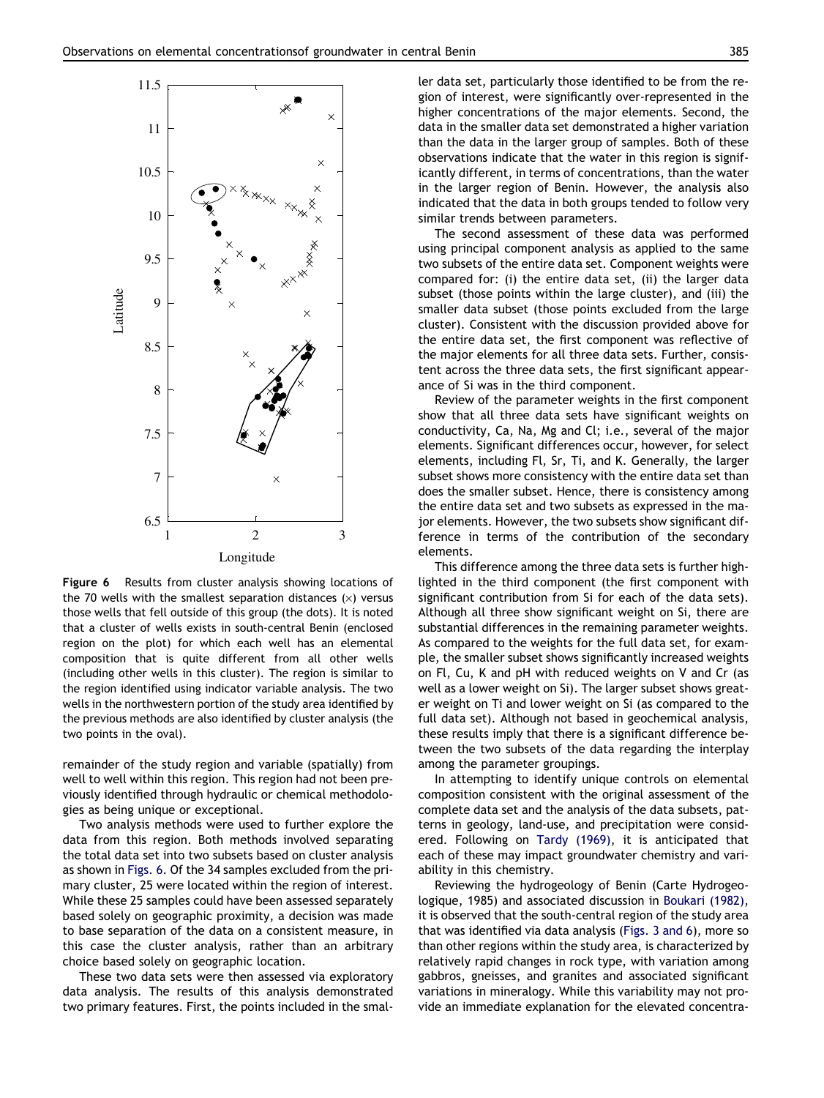<span id="page-11-0"></span>

Figure 6 Results from cluster analysis showing locations of the 70 wells with the smallest separation distances  $(x)$  versus those wells that fell outside of this group (the dots). It is noted that a cluster of wells exists in south-central Benin (enclosed region on the plot) for which each well has an elemental composition that is quite different from all other wells (including other wells in this cluster). The region is similar to the region identified using indicator variable analysis. The two wells in the northwestern portion of the study area identified by the previous methods are also identified by cluster analysis (the two points in the oval).

remainder of the study region and variable (spatially) from well to well within this region. This region had not been previously identified through hydraulic or chemical methodologies as being unique or exceptional.

Two analysis methods were used to further explore the data from this region. Both methods involved separating the total data set into two subsets based on cluster analysis as shown in Figs. 6. Of the 34 samples excluded from the primary cluster, 25 were located within the region of interest. While these 25 samples could have been assessed separately based solely on geographic proximity, a decision was made to base separation of the data on a consistent measure, in this case the cluster analysis, rather than an arbitrary choice based solely on geographic location.

These two data sets were then assessed via exploratory data analysis. The results of this analysis demonstrated two primary features. First, the points included in the smaller data set, particularly those identified to be from the region of interest, were significantly over-represented in the higher concentrations of the major elements. Second, the data in the smaller data set demonstrated a higher variation than the data in the larger group of samples. Both of these observations indicate that the water in this region is significantly different, in terms of concentrations, than the water in the larger region of Benin. However, the analysis also indicated that the data in both groups tended to follow very similar trends between parameters.

The second assessment of these data was performed using principal component analysis as applied to the same two subsets of the entire data set. Component weights were compared for: (i) the entire data set, (ii) the larger data subset (those points within the large cluster), and (iii) the smaller data subset (those points excluded from the large cluster). Consistent with the discussion provided above for the entire data set, the first component was reflective of the major elements for all three data sets. Further, consistent across the three data sets, the first significant appearance of Si was in the third component.

Review of the parameter weights in the first component show that all three data sets have significant weights on conductivity, Ca, Na, Mg and Cl; i.e., several of the major elements. Significant differences occur, however, for select elements, including Fl, Sr, Ti, and K. Generally, the larger subset shows more consistency with the entire data set than does the smaller subset. Hence, there is consistency among the entire data set and two subsets as expressed in the major elements. However, the two subsets show significant difference in terms of the contribution of the secondary elements.

This difference among the three data sets is further highlighted in the third component (the first component with significant contribution from Si for each of the data sets). Although all three show significant weight on Si, there are substantial differences in the remaining parameter weights. As compared to the weights for the full data set, for example, the smaller subset shows significantly increased weights on Fl, Cu, K and pH with reduced weights on V and Cr (as well as a lower weight on Si). The larger subset shows greater weight on Ti and lower weight on Si (as compared to the full data set). Although not based in geochemical analysis, these results imply that there is a significant difference between the two subsets of the data regarding the interplay among the parameter groupings.

In attempting to identify unique controls on elemental composition consistent with the original assessment of the complete data set and the analysis of the data subsets, patterns in geology, land-use, and precipitation were considered. Following on [Tardy \(1969\),](#page-14-0) it is anticipated that each of these may impact groundwater chemistry and variability in this chemistry.

Reviewing the hydrogeology of Benin (Carte Hydrogeologique, 1985) and associated discussion in [Boukari \(1982\)](#page-13-0), it is observed that the south-central region of the study area that was identified via data analysis ([Figs. 3 and 6\)](#page-7-0), more so than other regions within the study area, is characterized by relatively rapid changes in rock type, with variation among gabbros, gneisses, and granites and associated significant variations in mineralogy. While this variability may not provide an immediate explanation for the elevated concentra-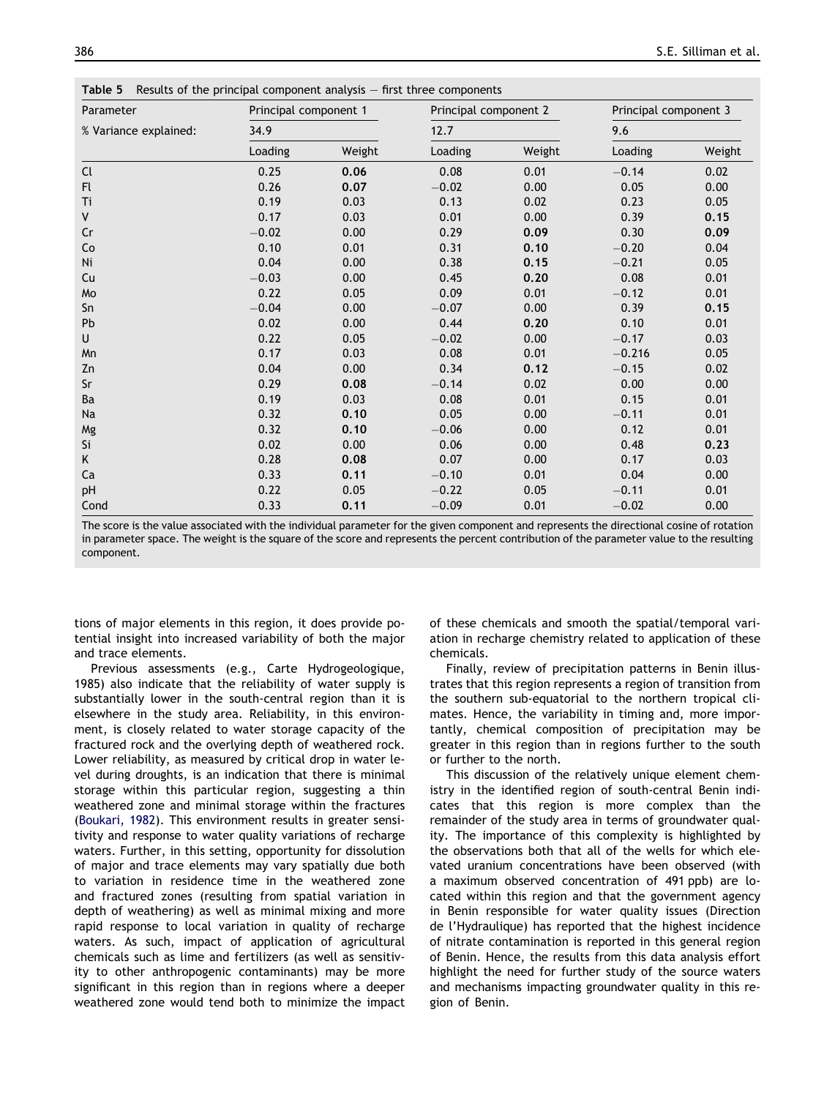<span id="page-12-0"></span>Table 5 Results of the principal component analysis – first three components

| Parameter             | Principal component 1 |        | Principal component 2 |        | Principal component 3<br>9.6 |        |
|-----------------------|-----------------------|--------|-----------------------|--------|------------------------------|--------|
| % Variance explained: | 34.9                  |        | 12.7                  |        |                              |        |
|                       | Loading               | Weight | Loading               | Weight | Loading                      | Weight |
| Cl                    | 0.25                  | 0.06   | 0.08                  | 0.01   | $-0.14$                      | 0.02   |
| Fl                    | 0.26                  | 0.07   | $-0.02$               | 0.00   | 0.05                         | 0.00   |
| Ti                    | 0.19                  | 0.03   | 0.13                  | 0.02   | 0.23                         | 0.05   |
| V                     | 0.17                  | 0.03   | 0.01                  | 0.00   | 0.39                         | 0.15   |
| Cr                    | $-0.02$               | 0.00   | 0.29                  | 0.09   | 0.30                         | 0.09   |
| Co                    | 0.10                  | 0.01   | 0.31                  | 0.10   | $-0.20$                      | 0.04   |
| Ni                    | 0.04                  | 0.00   | 0.38                  | 0.15   | $-0.21$                      | 0.05   |
| Cu                    | $-0.03$               | 0.00   | 0.45                  | 0.20   | 0.08                         | 0.01   |
| Mo                    | 0.22                  | 0.05   | 0.09                  | 0.01   | $-0.12$                      | 0.01   |
| Sn                    | $-0.04$               | 0.00   | $-0.07$               | 0.00   | 0.39                         | 0.15   |
| Pb                    | 0.02                  | 0.00   | 0.44                  | 0.20   | 0.10                         | 0.01   |
| U                     | 0.22                  | 0.05   | $-0.02$               | 0.00   | $-0.17$                      | 0.03   |
| Mn                    | 0.17                  | 0.03   | 0.08                  | 0.01   | $-0.216$                     | 0.05   |
| Zn                    | 0.04                  | 0.00   | 0.34                  | 0.12   | $-0.15$                      | 0.02   |
| Sr                    | 0.29                  | 0.08   | $-0.14$               | 0.02   | 0.00                         | 0.00   |
| Ba                    | 0.19                  | 0.03   | 0.08                  | 0.01   | 0.15                         | 0.01   |
| Na                    | 0.32                  | 0.10   | 0.05                  | 0.00   | $-0.11$                      | 0.01   |
| Mg                    | 0.32                  | 0.10   | $-0.06$               | 0.00   | 0.12                         | 0.01   |
| Si                    | 0.02                  | 0.00   | 0.06                  | 0.00   | 0.48                         | 0.23   |
| Κ                     | 0.28                  | 0.08   | 0.07                  | 0.00   | 0.17                         | 0.03   |
| Ca                    | 0.33                  | 0.11   | $-0.10$               | 0.01   | 0.04                         | 0.00   |
| pH                    | 0.22                  | 0.05   | $-0.22$               | 0.05   | $-0.11$                      | 0.01   |
| Cond                  | 0.33                  | 0.11   | $-0.09$               | 0.01   | $-0.02$                      | 0.00   |

The score is the value associated with the individual parameter for the given component and represents the directional cosine of rotation in parameter space. The weight is the square of the score and represents the percent contribution of the parameter value to the resulting component.

tions of major elements in this region, it does provide potential insight into increased variability of both the major and trace elements.

Previous assessments (e.g., Carte Hydrogeologique, 1985) also indicate that the reliability of water supply is substantially lower in the south-central region than it is elsewhere in the study area. Reliability, in this environment, is closely related to water storage capacity of the fractured rock and the overlying depth of weathered rock. Lower reliability, as measured by critical drop in water level during droughts, is an indication that there is minimal storage within this particular region, suggesting a thin weathered zone and minimal storage within the fractures [\(Boukari, 1982](#page-13-0)). This environment results in greater sensitivity and response to water quality variations of recharge waters. Further, in this setting, opportunity for dissolution of major and trace elements may vary spatially due both to variation in residence time in the weathered zone and fractured zones (resulting from spatial variation in depth of weathering) as well as minimal mixing and more rapid response to local variation in quality of recharge waters. As such, impact of application of agricultural chemicals such as lime and fertilizers (as well as sensitivity to other anthropogenic contaminants) may be more significant in this region than in regions where a deeper weathered zone would tend both to minimize the impact of these chemicals and smooth the spatial/temporal variation in recharge chemistry related to application of these chemicals.

Finally, review of precipitation patterns in Benin illustrates that this region represents a region of transition from the southern sub-equatorial to the northern tropical climates. Hence, the variability in timing and, more importantly, chemical composition of precipitation may be greater in this region than in regions further to the south or further to the north.

This discussion of the relatively unique element chemistry in the identified region of south-central Benin indicates that this region is more complex than the remainder of the study area in terms of groundwater quality. The importance of this complexity is highlighted by the observations both that all of the wells for which elevated uranium concentrations have been observed (with a maximum observed concentration of 491 ppb) are located within this region and that the government agency in Benin responsible for water quality issues (Direction de l'Hydraulique) has reported that the highest incidence of nitrate contamination is reported in this general region of Benin. Hence, the results from this data analysis effort highlight the need for further study of the source waters and mechanisms impacting groundwater quality in this region of Benin.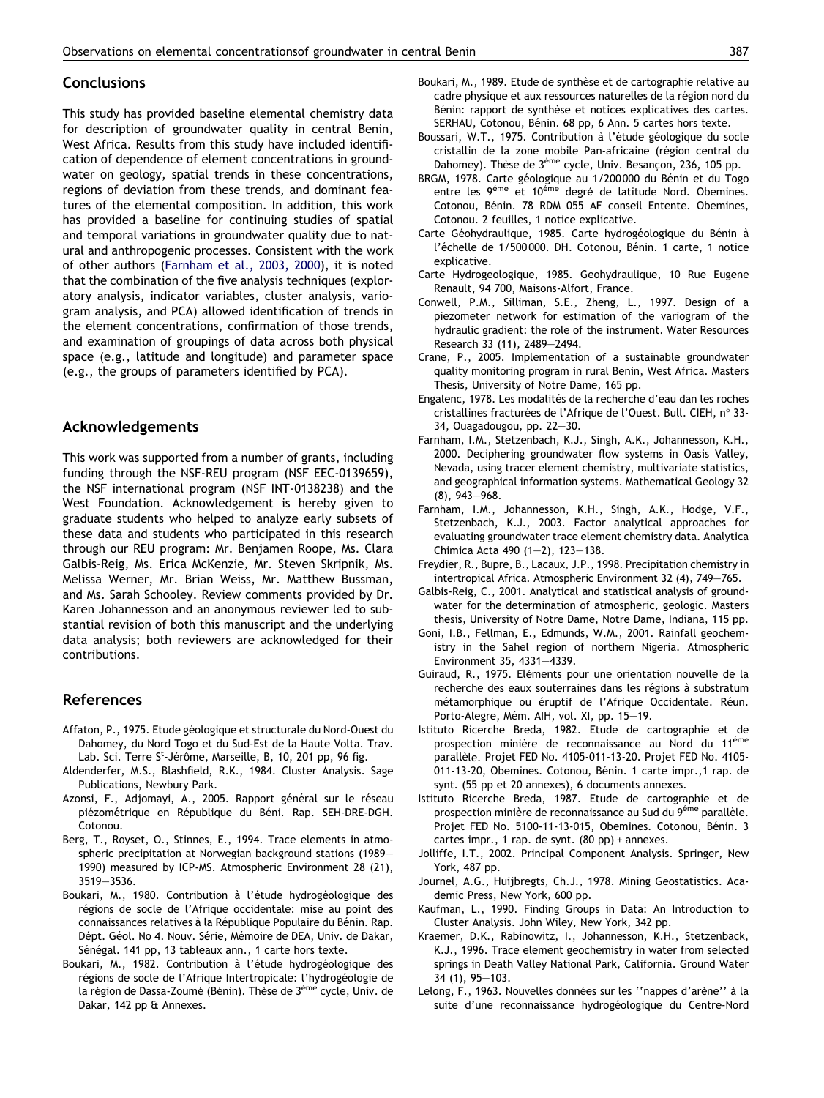#### <span id="page-13-0"></span>**Conclusions**

This study has provided baseline elemental chemistry data for description of groundwater quality in central Benin, West Africa. Results from this study have included identification of dependence of element concentrations in groundwater on geology, spatial trends in these concentrations, regions of deviation from these trends, and dominant features of the elemental composition. In addition, this work has provided a baseline for continuing studies of spatial and temporal variations in groundwater quality due to natural and anthropogenic processes. Consistent with the work of other authors (Farnham et al., 2003, 2000), it is noted that the combination of the five analysis techniques (exploratory analysis, indicator variables, cluster analysis, variogram analysis, and PCA) allowed identification of trends in the element concentrations, confirmation of those trends, and examination of groupings of data across both physical space (e.g., latitude and longitude) and parameter space (e.g., the groups of parameters identified by PCA).

## Acknowledgements

This work was supported from a number of grants, including funding through the NSF-REU program (NSF EEC-0139659), the NSF international program (NSF INT-0138238) and the West Foundation. Acknowledgement is hereby given to graduate students who helped to analyze early subsets of these data and students who participated in this research through our REU program: Mr. Benjamen Roope, Ms. Clara Galbis-Reig, Ms. Erica McKenzie, Mr. Steven Skripnik, Ms. Melissa Werner, Mr. Brian Weiss, Mr. Matthew Bussman, and Ms. Sarah Schooley. Review comments provided by Dr. Karen Johannesson and an anonymous reviewer led to substantial revision of both this manuscript and the underlying data analysis; both reviewers are acknowledged for their contributions.

### References

- Affaton, P., 1975. Etude géologique et structurale du Nord-Ouest du Dahomey, du Nord Togo et du Sud-Est de la Haute Volta. Trav. Lab. Sci. Terre S<sup>t</sup>-Jérôme, Marseille, B, 10, 201 pp, 96 fig.
- Aldenderfer, M.S., Blashfield, R.K., 1984. Cluster Analysis. Sage Publications, Newbury Park.
- Azonsi, F., Adjomayi, A., 2005. Rapport général sur le réseau piézométrique en République du Béni. Rap. SEH-DRE-DGH. Cotonou.
- Berg, T., Royset, O., Stinnes, E., 1994. Trace elements in atmospheric precipitation at Norwegian background stations (1989– 1990) measured by ICP-MS. Atmospheric Environment 28 (21), 3519–3536.
- Boukari, M., 1980. Contribution à l'étude hydrogéologique des régions de socle de l'Afrique occidentale: mise au point des connaissances relatives à la République Populaire du Bénin. Rap. Dépt. Géol. No 4. Nouv. Série, Mémoire de DEA, Univ. de Dakar, Sénégal. 141 pp, 13 tableaux ann., 1 carte hors texte.
- Boukari, M., 1982. Contribution à l'étude hydrogéologique des régions de socle de l'Afrique Intertropicale: l'hydrogéologie de la région de Dassa-Zoumé (Bénin). Thèse de 3<sup>éme</sup> cycle, Univ. de Dakar, 142 pp & Annexes.
- Boukari, M., 1989. Etude de synthèse et de cartographie relative au cadre physique et aux ressources naturelles de la région nord du Bénin: rapport de synthèse et notices explicatives des cartes. SERHAU, Cotonou, Bénin. 68 pp, 6 Ann. 5 cartes hors texte.
- Boussari, W.T., 1975. Contribution à l'étude géologique du socle cristallin de la zone mobile Pan-africaine (région central du Dahomey). Thèse de 3<sup>éme</sup> cycle, Univ. Besancon, 236, 105 pp.
- BRGM, 1978. Carte géologique au 1/200 000 du Bénin et du Togo entre les 9<sup>éme</sup> et 10<sup>éme</sup> degré de latitude Nord. Obemines. Cotonou, Bénin. 78 RDM 055 AF conseil Entente. Obemines, Cotonou. 2 feuilles, 1 notice explicative.
- Carte Géohydraulique, 1985. Carte hydrogéologique du Bénin à l'échelle de 1/500 000. DH. Cotonou, Bénin. 1 carte, 1 notice explicative.
- Carte Hydrogeologique, 1985. Geohydraulique, 10 Rue Eugene Renault, 94 700, Maisons-Alfort, France.
- Conwell, P.M., Silliman, S.E., Zheng, L., 1997. Design of a piezometer network for estimation of the variogram of the hydraulic gradient: the role of the instrument. Water Resources Research 33 (11), 2489–2494.
- Crane, P., 2005. Implementation of a sustainable groundwater quality monitoring program in rural Benin, West Africa. Masters Thesis, University of Notre Dame, 165 pp.
- Engalenc, 1978. Les modalités de la recherche d'eau dan les roches cristallines fracturées de l'Afrique de l'Ouest. Bull. CIEH, n° 33-34, Ouagadougou, pp. 22–30.
- Farnham, I.M., Stetzenbach, K.J., Singh, A.K., Johannesson, K.H., 2000. Deciphering groundwater flow systems in Oasis Valley, Nevada, using tracer element chemistry, multivariate statistics, and geographical information systems. Mathematical Geology 32 (8), 943–968.
- Farnham, I.M., Johannesson, K.H., Singh, A.K., Hodge, V.F., Stetzenbach, K.J., 2003. Factor analytical approaches for evaluating groundwater trace element chemistry data. Analytica Chimica Acta 490 (1–2), 123–138.
- Freydier, R., Bupre, B., Lacaux, J.P., 1998. Precipitation chemistry in intertropical Africa. Atmospheric Environment 32 (4), 749–765.
- Galbis-Reig, C., 2001. Analytical and statistical analysis of groundwater for the determination of atmospheric, geologic. Masters thesis, University of Notre Dame, Notre Dame, Indiana, 115 pp.
- Goni, I.B., Fellman, E., Edmunds, W.M., 2001. Rainfall geochemistry in the Sahel region of northern Nigeria. Atmospheric Environment 35, 4331–4339.
- Guiraud, R., 1975. Eléments pour une orientation nouvelle de la recherche des eaux souterraines dans les régions à substratum métamorphique ou éruptif de l'Afrique Occidentale. Réun. Porto-Alegre, Mém. AIH, vol. XI, pp. 15-19.
- Istituto Ricerche Breda, 1982. Etude de cartographie et de prospection minière de reconnaissance au Nord du 11<sup>éme</sup> parallèle. Projet FED No. 4105-011-13-20. Projet FED No. 4105-011-13-20, Obemines. Cotonou, Bénin. 1 carte impr.,1 rap. de synt. (55 pp et 20 annexes), 6 documents annexes.
- Istituto Ricerche Breda, 1987. Etude de cartographie et de prospection minière de reconnaissance au Sud du 9<sup>éme</sup> parallèle. Projet FED No. 5100-11-13-015, Obemines. Cotonou, Bénin. 3 cartes impr., 1 rap. de synt. (80 pp) + annexes.
- Jolliffe, I.T., 2002. Principal Component Analysis. Springer, New York, 487 pp.
- Journel, A.G., Huijbregts, Ch.J., 1978. Mining Geostatistics. Academic Press, New York, 600 pp.
- Kaufman, L., 1990. Finding Groups in Data: An Introduction to Cluster Analysis. John Wiley, New York, 342 pp.
- Kraemer, D.K., Rabinowitz, I., Johannesson, K.H., Stetzenback, K.J., 1996. Trace element geochemistry in water from selected springs in Death Valley National Park, California. Ground Water 34 (1), 95–103.
- Lelong, F., 1963. Nouvelles données sur les "nappes d'arène" à la suite d'une reconnaissance hydrogéologique du Centre-Nord